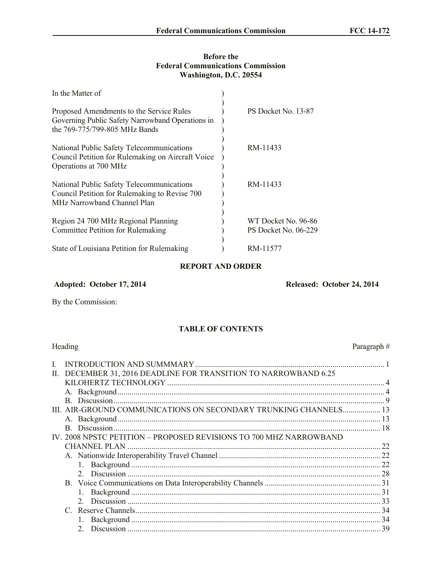## **Before the Federal Communications Commission Washington, D.C. 20554**

| In the Matter of                                                                                                                 |                                             |
|----------------------------------------------------------------------------------------------------------------------------------|---------------------------------------------|
| Proposed Amendments to the Service Rules<br>Governing Public Safety Narrowband Operations in<br>the 769-775/799-805 MHz Bands    | PS Docket No. 13-87                         |
| National Public Safety Telecommunications<br>Council Petition for Rulemaking on Aircraft Voice<br>Operations at 700 MHz          | RM-11433                                    |
| National Public Safety Telecommunications<br>Council Petition for Rulemaking to Revise 700<br><b>MHz Narrowband Channel Plan</b> | RM-11433                                    |
| Region 24 700 MHz Regional Planning<br>Committee Petition for Rulemaking                                                         | WT Docket No. 96-86<br>PS Docket No. 06-229 |
| State of Louisiana Petition for Rulemaking                                                                                       | RM-11577                                    |

# **REPORT AND ORDER**

# **Adopted: October 17, 2014 Released: October 24, 2014**

By the Commission:

## **TABLE OF CONTENTS**

|    | Heading                                                            | Paragraph# |
|----|--------------------------------------------------------------------|------------|
| L  |                                                                    |            |
| П. | DECEMBER 31, 2016 DEADLINE FOR TRANSITION TO NARROWBAND 6.25       |            |
|    |                                                                    |            |
|    |                                                                    |            |
|    |                                                                    |            |
|    | III. AIR-GROUND COMMUNICATIONS ON SECONDARY TRUNKING CHANNELS 13   |            |
|    |                                                                    |            |
|    |                                                                    |            |
|    | IV. 2008 NPSTC PETITION - PROPOSED REVISIONS TO 700 MHZ NARROWBAND |            |
|    | <b>CHANNEL PLAN</b>                                                | 22         |
|    |                                                                    |            |
|    |                                                                    |            |
|    |                                                                    |            |
|    | B.                                                                 |            |
|    |                                                                    | 31         |
|    |                                                                    |            |
|    |                                                                    |            |
|    |                                                                    |            |
|    | $\mathfrak{2}^-$                                                   |            |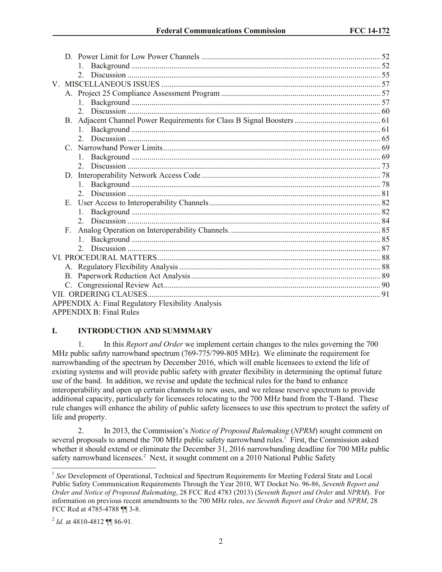| $2^{\circ}$                                       |  |
|---------------------------------------------------|--|
|                                                   |  |
|                                                   |  |
| 1                                                 |  |
|                                                   |  |
|                                                   |  |
|                                                   |  |
| $2^{\circ}$                                       |  |
| C                                                 |  |
|                                                   |  |
|                                                   |  |
| D.                                                |  |
|                                                   |  |
|                                                   |  |
| Е.                                                |  |
|                                                   |  |
|                                                   |  |
| F.                                                |  |
|                                                   |  |
|                                                   |  |
|                                                   |  |
|                                                   |  |
|                                                   |  |
|                                                   |  |
|                                                   |  |
| APPENDIX A: Final Regulatory Flexibility Analysis |  |
| <b>APPENDIX B: Final Rules</b>                    |  |

### **I. INTRODUCTION AND SUMMMARY**

1. In this *Report and Order* we implement certain changes to the rules governing the 700 MHz public safety narrowband spectrum (769-775/799-805 MHz). We eliminate the requirement for narrowbanding of the spectrum by December 2016, which will enable licensees to extend the life of existing systems and will provide public safety with greater flexibility in determining the optimal future use of the band. In addition, we revise and update the technical rules for the band to enhance interoperability and open up certain channels to new uses, and we release reserve spectrum to provide additional capacity, particularly for licensees relocating to the 700 MHz band from the T-Band. These rule changes will enhance the ability of public safety licensees to use this spectrum to protect the safety of life and property.

2. In 2013, the Commission's *Notice of Proposed Rulemaking* (*NPRM*) sought comment on several proposals to amend the 700 MHz public safety narrowband rules.<sup>1</sup> First, the Commission asked whether it should extend or eliminate the December 31, 2016 narrowbanding deadline for 700 MHz public safety narrowband licensees.<sup>2</sup> Next, it sought comment on a 2010 National Public Safety

 $\overline{a}$ 

<sup>&</sup>lt;sup>1</sup> See Development of Operational, Technical and Spectrum Requirements for Meeting Federal State and Local Public Safety Communication Requirements Through the Year 2010, WT Docket No. 96-86, *Seventh Report and Order and Notice of Proposed Rulemaking*, 28 FCC Rcd 4783 (2013) (*Seventh Report and Order* and *NPRM*). For information on previous recent amendments to the 700 MHz rules, *see Seventh Report and Order* and *NPRM*, 28 FCC Rcd at 4785-4788 ¶¶ 3-8.

<sup>&</sup>lt;sup>2</sup> *Id.* at 4810-4812 ¶¶ 86-91.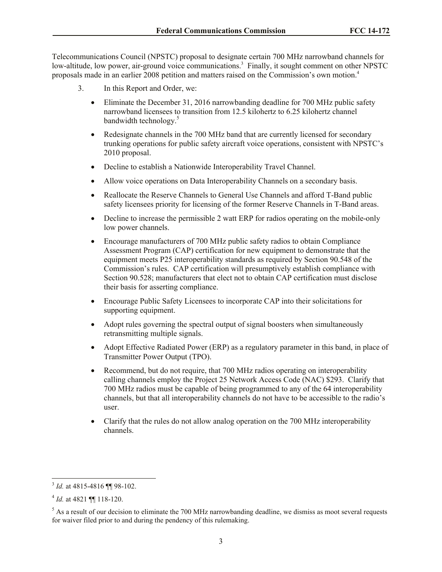Telecommunications Council (NPSTC) proposal to designate certain 700 MHz narrowband channels for low-altitude, low power, air-ground voice communications.<sup>3</sup> Finally, it sought comment on other NPSTC proposals made in an earlier 2008 petition and matters raised on the Commission's own motion.<sup>4</sup>

- 3. In this Report and Order, we:
	- Eliminate the December 31, 2016 narrowbanding deadline for 700 MHz public safety narrowband licensees to transition from 12.5 kilohertz to 6.25 kilohertz channel bandwidth technology.<sup>5</sup>
	- Redesignate channels in the 700 MHz band that are currently licensed for secondary trunking operations for public safety aircraft voice operations, consistent with NPSTC's 2010 proposal.
	- Decline to establish a Nationwide Interoperability Travel Channel.
	- Allow voice operations on Data Interoperability Channels on a secondary basis.
	- Reallocate the Reserve Channels to General Use Channels and afford T-Band public safety licensees priority for licensing of the former Reserve Channels in T-Band areas.
	- Decline to increase the permissible 2 watt ERP for radios operating on the mobile-only low power channels.
	- Encourage manufacturers of 700 MHz public safety radios to obtain Compliance Assessment Program (CAP) certification for new equipment to demonstrate that the equipment meets P25 interoperability standards as required by Section 90.548 of the Commission's rules. CAP certification will presumptively establish compliance with Section 90.528; manufacturers that elect not to obtain CAP certification must disclose their basis for asserting compliance.
	- Encourage Public Safety Licensees to incorporate CAP into their solicitations for supporting equipment.
	- Adopt rules governing the spectral output of signal boosters when simultaneously retransmitting multiple signals.
	- Adopt Effective Radiated Power (ERP) as a regulatory parameter in this band, in place of Transmitter Power Output (TPO).
	- Recommend, but do not require, that 700 MHz radios operating on interoperability calling channels employ the Project 25 Network Access Code (NAC) \$293. Clarify that 700 MHz radios must be capable of being programmed to any of the 64 interoperability channels, but that all interoperability channels do not have to be accessible to the radio's user.
	- Clarify that the rules do not allow analog operation on the 700 MHz interoperability channels.

 3 *Id.* at 4815-4816 ¶¶ 98-102.

<sup>4</sup> *Id.* at 4821 ¶¶ 118-120.

 $<sup>5</sup>$  As a result of our decision to eliminate the 700 MHz narrowbanding deadline, we dismiss as moot several requests</sup> for waiver filed prior to and during the pendency of this rulemaking.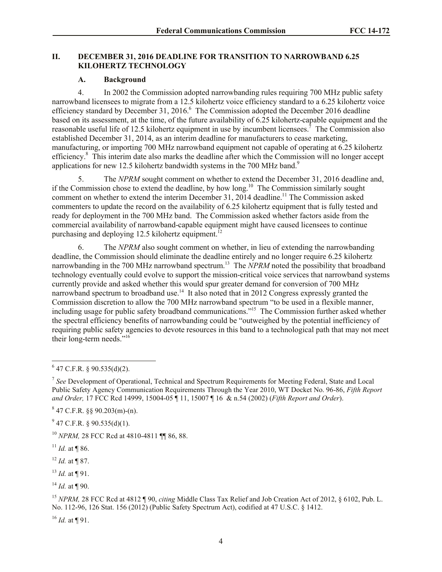### **II. DECEMBER 31, 2016 DEADLINE FOR TRANSITION TO NARROWBAND 6.25 KILOHERTZ TECHNOLOGY**

### **A. Background**

4. In 2002 the Commission adopted narrowbanding rules requiring 700 MHz public safety narrowband licensees to migrate from a 12.5 kilohertz voice efficiency standard to a 6.25 kilohertz voice efficiency standard by December 31, 2016.<sup>6</sup> The Commission adopted the December 2016 deadline based on its assessment, at the time, of the future availability of 6.25 kilohertz-capable equipment and the reasonable useful life of 12.5 kilohertz equipment in use by incumbent licensees.<sup>7</sup> The Commission also established December 31, 2014, as an interim deadline for manufacturers to cease marketing, manufacturing, or importing 700 MHz narrowband equipment not capable of operating at 6.25 kilohertz efficiency.<sup>8</sup> This interim date also marks the deadline after which the Commission will no longer accept applications for new 12.5 kilohertz bandwidth systems in the 700 MHz band.<sup>9</sup>

5. The *NPRM* sought comment on whether to extend the December 31, 2016 deadline and, if the Commission chose to extend the deadline, by how long.<sup>10</sup> The Commission similarly sought comment on whether to extend the interim December 31, 2014 deadline.<sup>11</sup> The Commission asked commenters to update the record on the availability of 6.25 kilohertz equipment that is fully tested and ready for deployment in the 700 MHz band. The Commission asked whether factors aside from the commercial availability of narrowband-capable equipment might have caused licensees to continue purchasing and deploying 12.5 kilohertz equipment.<sup>12</sup>

6. The *NPRM* also sought comment on whether, in lieu of extending the narrowbanding deadline, the Commission should eliminate the deadline entirely and no longer require 6.25 kilohertz narrowbanding in the 700 MHz narrowband spectrum.<sup>13</sup> The *NPRM* noted the possibility that broadband technology eventually could evolve to support the mission-critical voice services that narrowband systems currently provide and asked whether this would spur greater demand for conversion of 700 MHz narrowband spectrum to broadband use.<sup>14</sup> It also noted that in 2012 Congress expressly granted the Commission discretion to allow the 700 MHz narrowband spectrum "to be used in a flexible manner, including usage for public safety broadband communications."<sup>15</sup> The Commission further asked whether the spectral efficiency benefits of narrowbanding could be "outweighed by the potential inefficiency of requiring public safety agencies to devote resources in this band to a technological path that may not meet their long-term needs." 16

 $9^9$  47 C.F.R. § 90.535(d)(1).

<sup>10</sup> *NPRM,* 28 FCC Rcd at 4810-4811 ¶¶ 86, 88.

<sup>12</sup> *Id.* at ¶ 87.

<sup>13</sup> *Id.* at ¶ 91.

<sup>15</sup> *NPRM,* 28 FCC Rcd at 4812 ¶ 90, *citing* Middle Class Tax Relief and Job Creation Act of 2012, § 6102, Pub. L. No. 112-96, 126 Stat. 156 (2012) (Public Safety Spectrum Act), codified at 47 U.S.C. § 1412.

 $^{16}$  *Id.* at **[91.**]

 $647$  C.F.R. § 90.535(d)(2).

<sup>&</sup>lt;sup>7</sup> See Development of Operational, Technical and Spectrum Requirements for Meeting Federal, State and Local Public Safety Agency Communication Requirements Through the Year 2010, WT Docket No. 96-86, *Fifth Report and Order,* 17 FCC Rcd 14999, 15004-05 ¶ 11, 15007 ¶ 16 & n.54 (2002) (*Fifth Report and Order*).

 $847$  C.F.R. §§ 90.203(m)-(n).

 $11$  *Id.* at ¶ 86.

 $^{14}$  *Id.* at ¶ 90.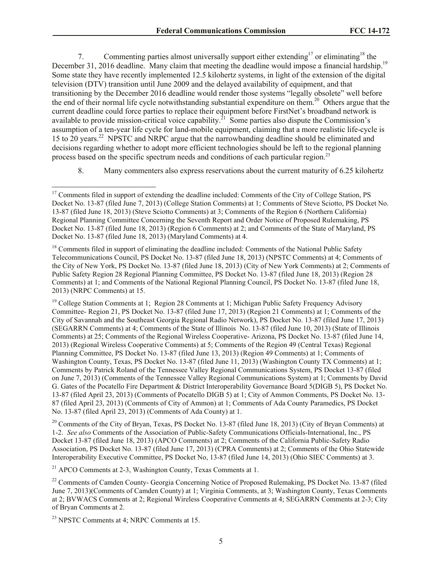7. Commenting parties almost universally support either extending<sup>17</sup> or eliminating<sup>18</sup> the December 31, 2016 deadline. Many claim that meeting the deadline would impose a financial hardship.<sup>19</sup> Some state they have recently implemented 12.5 kilohertz systems, in light of the extension of the digital television (DTV) transition until June 2009 and the delayed availability of equipment, and that transitioning by the December 2016 deadline would render those systems "legally obsolete" well before the end of their normal life cycle notwithstanding substantial expenditure on them.<sup>20</sup> Others argue that the current deadline could force parties to replace their equipment before FirstNet's broadband network is available to provide mission-critical voice capability.<sup>21</sup> Some parties also dispute the Commission's assumption of a ten-year life cycle for land-mobile equipment, claiming that a more realistic life-cycle is 15 to 20 years.<sup>22</sup> NPSTC and NRPC argue that the narrowbanding deadline should be eliminated and decisions regarding whether to adopt more efficient technologies should be left to the regional planning process based on the specific spectrum needs and conditions of each particular region.<sup>23</sup>

8. Many commenters also express reservations about the current maturity of 6.25 kilohertz

<sup>19</sup> College Station Comments at 1; Region 28 Comments at 1; Michigan Public Safety Frequency Advisory Committee- Region 21, PS Docket No. 13-87 (filed June 17, 2013) (Region 21 Comments) at 1; Comments of the City of Savannah and the Southeast Georgia Regional Radio Network), PS Docket No. 13-87 (filed June 17, 2013) (SEGARRN Comments) at 4; Comments of the State of Illinois No. 13-87 (filed June 10, 2013) (State of Illinois Comments) at 25; Comments of the Regional Wireless Cooperative- Arizona, PS Docket No. 13-87 (filed June 14, 2013) (Regional Wireless Cooperative Comments) at 5; Comments of the Region 49 (Central Texas) Regional Planning Committee, PS Docket No. 13-87 (filed June 13, 2013) (Region 49 Comments) at 1; Comments of Washington County, Texas, PS Docket No. 13-87 (filed June 11, 2013) (Washington County TX Comments) at 1; Comments by Patrick Roland of the Tennessee Valley Regional Communications System, PS Docket 13-87 (filed on June 7, 2013) (Comments of the Tennessee Valley Regional Communications System) at 1; Comments by David G. Gates of the Pocatello Fire Department & District Interoperability Governance Board 5(DIGB 5), PS Docket No. 13-87 (filed April 23, 2013) (Comments of Pocatello DIGB 5) at 1; City of Ammon Comments, PS Docket No. 13- 87 (filed April 23, 2013) (Comments of City of Ammon) at 1; Comments of Ada County Paramedics, PS Docket No. 13-87 (filed April 23, 2013) (Comments of Ada County) at 1.

<sup>20</sup> Comments of the City of Bryan, Texas, PS Docket No. 13-87 (filed June 18, 2013) (City of Bryan Comments) at 1-2. *See also* Comments of the Association of Public-Safety Communications Officials-International, Inc., PS Docket 13-87 (filed June 18, 2013) (APCO Comments) at 2; Comments of the California Public-Safety Radio Association, PS Docket No. 13-87 (filed June 17, 2013) (CPRA Comments) at 2; Comments of the Ohio Statewide Interoperability Executive Committee, PS Docket No, 13-87 (filed June 14, 2013) (Ohio SIEC Comments) at 3.

<sup>21</sup> APCO Comments at 2-3, Washington County, Texas Comments at 1.

<sup>22</sup> Comments of Camden County- Georgia Concerning Notice of Proposed Rulemaking, PS Docket No. 13-87 (filed June 7, 2013)(Comments of Camden County) at 1; Virginia Comments, at 3; Washington County, Texas Comments at 2; BVWACS Comments at 2; Regional Wireless Cooperative Comments at 4; SEGARRN Comments at 2-3; City of Bryan Comments at 2.

 $23$  NPSTC Comments at 4; NRPC Comments at 15.

 $\overline{a}$ 

<sup>&</sup>lt;sup>17</sup> Comments filed in support of extending the deadline included: Comments of the City of College Station, PS Docket No. 13-87 (filed June 7, 2013) (College Station Comments) at 1; Comments of Steve Sciotto, PS Docket No. 13-87 (filed June 18, 2013) (Steve Sciotto Comments) at 3; Comments of the Region 6 (Northern California) Regional Planning Committee Concerning the Seventh Report and Order Notice of Proposed Rulemaking, PS Docket No. 13-87 (filed June 18, 2013) (Region 6 Comments) at 2; and Comments of the State of Maryland, PS Docket No. 13-87 (filed June 18, 2013) (Maryland Comments) at 4.

<sup>&</sup>lt;sup>18</sup> Comments filed in support of eliminating the deadline included: Comments of the National Public Safety Telecommunications Council, PS Docket No. 13-87 (filed June 18, 2013) (NPSTC Comments) at 4; Comments of the City of New York, PS Docket No. 13-87 (filed June 18, 2013) (City of New York Comments) at 2; Comments of Public Safety Region 28 Regional Planning Committee, PS Docket No. 13-87 (filed June 18, 2013) (Region 28 Comments) at 1; and Comments of the National Regional Planning Council, PS Docket No. 13-87 (filed June 18, 2013) (NRPC Comments) at 15.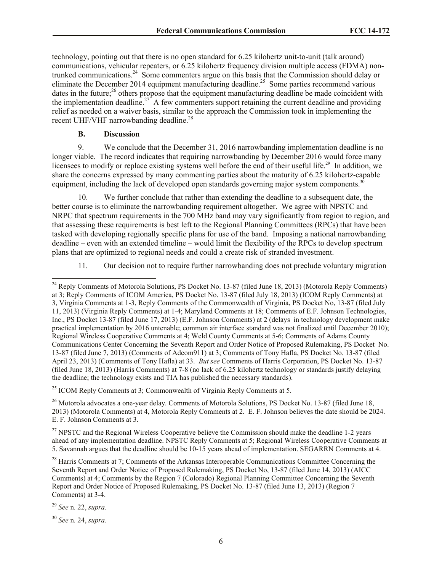technology, pointing out that there is no open standard for 6.25 kilohertz unit-to-unit (talk around) communications, vehicular repeaters, or 6.25 kilohertz frequency division multiple access (FDMA) nontrunked communications.<sup>24</sup> Some commenters argue on this basis that the Commission should delay or eliminate the December 2014 equipment manufacturing deadline.<sup>25</sup> Some parties recommend various dates in the future;<sup>26</sup> others propose that the equipment manufacturing deadline be made coincident with the implementation deadline.<sup>27</sup> A few commenters support retaining the current deadline and providing relief as needed on a waiver basis, similar to the approach the Commission took in implementing the recent UHF/VHF narrowbanding deadline.<sup>28</sup>

### **B. Discussion**

9. We conclude that the December 31, 2016 narrowbanding implementation deadline is no longer viable. The record indicates that requiring narrowbanding by December 2016 would force many licensees to modify or replace existing systems well before the end of their useful life.<sup>29</sup> In addition, we share the concerns expressed by many commenting parties about the maturity of 6.25 kilohertz-capable equipment, including the lack of developed open standards governing major system components.<sup>30</sup>

10. We further conclude that rather than extending the deadline to a subsequent date, the better course is to eliminate the narrowbanding requirement altogether. We agree with NPSTC and NRPC that spectrum requirements in the 700 MHz band may vary significantly from region to region, and that assessing these requirements is best left to the Regional Planning Committees (RPCs) that have been tasked with developing regionally specific plans for use of the band. Imposing a national narrowbanding deadline – even with an extended timeline – would limit the flexibility of the RPCs to develop spectrum plans that are optimized to regional needs and could a create risk of stranded investment.

11. Our decision not to require further narrowbanding does not preclude voluntary migration

<sup>25</sup> ICOM Reply Comments at 3; Commonwealth of Virginia Reply Comments at 5.

<sup>26</sup> Motorola advocates a one-year delay. Comments of Motorola Solutions, PS Docket No. 13-87 (filed June 18, 2013) (Motorola Comments) at 4, Motorola Reply Comments at 2. E. F. Johnson believes the date should be 2024. E. F. Johnson Comments at 3.

 $27$  NPSTC and the Regional Wireless Cooperative believe the Commission should make the deadline 1-2 years ahead of any implementation deadline. NPSTC Reply Comments at 5; Regional Wireless Cooperative Comments at 5. Savannah argues that the deadline should be 10-15 years ahead of implementation. SEGARRN Comments at 4.

<sup>28</sup> Harris Comments at 7: Comments of the Arkansas Interoperable Communications Committee Concerning the Seventh Report and Order Notice of Proposed Rulemaking, PS Docket No, 13-87 (filed June 14, 2013) (AICC Comments) at 4; Comments by the Region 7 (Colorado) Regional Planning Committee Concerning the Seventh Report and Order Notice of Proposed Rulemaking, PS Docket No. 13-87 (filed June 13, 2013) (Region 7 Comments) at 3-4.

<sup>29</sup> *See* n. 22, *supra.*

 $\overline{a}$ 

<sup>30</sup> *See* n. 24, *supra.*

<sup>&</sup>lt;sup>24</sup> Reply Comments of Motorola Solutions, PS Docket No. 13-87 (filed June 18, 2013) (Motorola Reply Comments) at 3; Reply Comments of ICOM America, PS Docket No. 13-87 (filed July 18, 2013) (ICOM Reply Comments) at 3, Virginia Comments at 1-3, Reply Comments of the Commonwealth of Virginia, PS Docket No, 13-87 (filed July 11, 2013) (Virginia Reply Comments) at 1-4; Maryland Comments at 18; Comments of E.F. Johnson Technologies, Inc., PS Docket 13-87 (filed June 17, 2013) (E.F. Johnson Comments) at 2 (delays in technology development make practical implementation by 2016 untenable; common air interface standard was not finalized until December 2010); Regional Wireless Cooperative Comments at 4; Weld County Comments at 5-6; Comments of Adams County Communications Center Concerning the Seventh Report and Order Notice of Proposed Rulemaking, PS Docket No. 13-87 (filed June 7, 2013) (Comments of Adcom911) at 3; Comments of Tony Hafla, PS Docket No. 13-87 (filed April 23, 2013) (Comments of Tony Hafla) at 33. *But see* Comments of Harris Corporation, PS Docket No. 13-87 (filed June 18, 2013) (Harris Comments) at 7-8 (no lack of 6.25 kilohertz technology or standards justify delaying the deadline; the technology exists and TIA has published the necessary standards).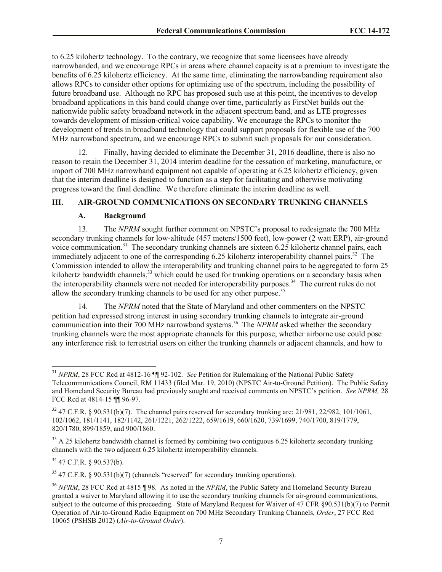to 6.25 kilohertz technology. To the contrary, we recognize that some licensees have already narrowbanded, and we encourage RPCs in areas where channel capacity is at a premium to investigate the benefits of 6.25 kilohertz efficiency. At the same time, eliminating the narrowbanding requirement also allows RPCs to consider other options for optimizing use of the spectrum, including the possibility of future broadband use. Although no RPC has proposed such use at this point, the incentives to develop broadband applications in this band could change over time, particularly as FirstNet builds out the nationwide public safety broadband network in the adjacent spectrum band, and as LTE progresses towards development of mission-critical voice capability. We encourage the RPCs to monitor the development of trends in broadband technology that could support proposals for flexible use of the 700 MHz narrowband spectrum, and we encourage RPCs to submit such proposals for our consideration.

12. Finally, having decided to eliminate the December 31, 2016 deadline, there is also no reason to retain the December 31, 2014 interim deadline for the cessation of marketing, manufacture, or import of 700 MHz narrowband equipment not capable of operating at 6.25 kilohertz efficiency, given that the interim deadline is designed to function as a step for facilitating and otherwise motivating progress toward the final deadline. We therefore eliminate the interim deadline as well.

## **III. AIR-GROUND COMMUNICATIONS ON SECONDARY TRUNKING CHANNELS**

#### **A. Background**

13. The *NPRM* sought further comment on NPSTC's proposal to redesignate the 700 MHz secondary trunking channels for low-altitude (457 meters/1500 feet), low-power (2 watt ERP), air-ground voice communication.<sup>31</sup> The secondary trunking channels are sixteen 6.25 kilohertz channel pairs, each immediately adjacent to one of the corresponding 6.25 kilohertz interoperability channel pairs.<sup>32</sup> The Commission intended to allow the interoperability and trunking channel pairs to be aggregated to form 25 kilohertz bandwidth channels,<sup>33</sup> which could be used for trunking operations on a secondary basis when the interoperability channels were not needed for interoperability purposes.<sup>34</sup> The current rules do not allow the secondary trunking channels to be used for any other purpose.<sup>35</sup>

14. The *NPRM* noted that the State of Maryland and other commenters on the NPSTC petition had expressed strong interest in using secondary trunking channels to integrate air-ground communication into their 700 MHz narrowband systems. 36 The *NPRM* asked whether the secondary trunking channels were the most appropriate channels for this purpose, whether airborne use could pose any interference risk to terrestrial users on either the trunking channels or adjacent channels, and how to

 $34$  47 C.F.R. § 90.537(b).

 $\overline{a}$ 

<sup>35</sup> 47 C.F.R. § 90.531(b)(7) (channels "reserved" for secondary trunking operations).

<sup>31</sup> *NPRM*, 28 FCC Rcd at 4812-16 ¶¶ 92-102. *See* Petition for Rulemaking of the National Public Safety Telecommunications Council, RM 11433 (filed Mar. 19, 2010) (NPSTC Air-to-Ground Petition). The Public Safety and Homeland Security Bureau had previously sought and received comments on NPSTC's petition. *See NPRM,* 28 FCC Rcd at 4814-15 ¶¶ 96-97.

 $32\,47$  C.F.R. § 90.531(b)(7). The channel pairs reserved for secondary trunking are: 21/981, 22/982, 101/1061, 102/1062, 181/1141, 182/1142, 261/1221, 262/1222, 659/1619, 660/1620, 739/1699, 740/1700, 819/1779, 820/1780, 899/1859, and 900/1860.

<sup>&</sup>lt;sup>33</sup> A 25 kilohertz bandwidth channel is formed by combining two contiguous 6.25 kilohertz secondary trunking channels with the two adjacent 6.25 kilohertz interoperability channels.

<sup>36</sup> *NPRM*, 28 FCC Rcd at 4815 ¶ 98. As noted in the *NPRM*, the Public Safety and Homeland Security Bureau granted a waiver to Maryland allowing it to use the secondary trunking channels for air-ground communications, subject to the outcome of this proceeding. State of Maryland Request for Waiver of 47 CFR §90.531(b)(7) to Permit Operation of Air-to-Ground Radio Equipment on 700 MHz Secondary Trunking Channels, *Order*, 27 FCC Rcd 10065 (PSHSB 2012) (*Air-to-Ground Order*).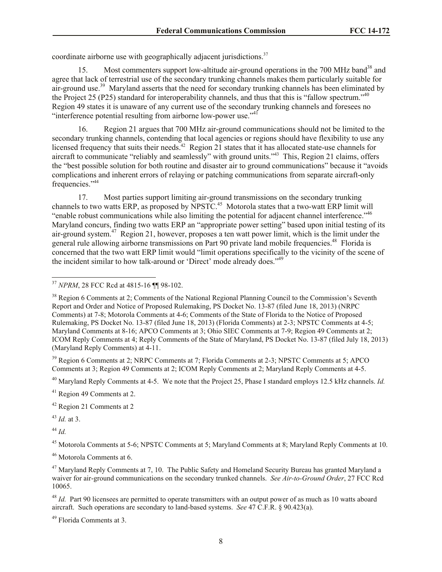coordinate airborne use with geographically adjacent jurisdictions. $37$ 

15. Most commenters support low-altitude air-ground operations in the 700 MHz band<sup>38</sup> and agree that lack of terrestrial use of the secondary trunking channels makes them particularly suitable for air-ground use.<sup>39</sup> Maryland asserts that the need for secondary trunking channels has been eliminated by the Project 25 (P25) standard for interoperability channels, and thus that this is "fallow spectrum."<sup>40</sup> Region 49 states it is unaware of any current use of the secondary trunking channels and foresees no "interference potential resulting from airborne low-power use."<sup>41</sup>

16. Region 21 argues that 700 MHz air-ground communications should not be limited to the secondary trunking channels, contending that local agencies or regions should have flexibility to use any licensed frequency that suits their needs.<sup>42</sup> Region 21 states that it has allocated state-use channels for aircraft to communicate "reliably and seamlessly" with ground units."<sup>43</sup> This, Region 21 claims, offers the "best possible solution for both routine and disaster air to ground communications" because it "avoids complications and inherent errors of relaying or patching communications from separate aircraft-only frequencies."<sup>44</sup>

17. Most parties support limiting air-ground transmissions on the secondary trunking channels to two watts ERP, as proposed by NPSTC.<sup>45</sup> Motorola states that a two-watt ERP limit will "enable robust communications while also limiting the potential for adjacent channel interference."<sup>46</sup> Maryland concurs, finding two watts ERP an "appropriate power setting" based upon initial testing of its air-ground system.<sup>47</sup> Region 21, however, proposes a ten watt power limit, which is the limit under the general rule allowing airborne transmissions on Part 90 private land mobile frequencies.<sup>48</sup> Florida is concerned that the two watt ERP limit would "limit operations specifically to the vicinity of the scene of the incident similar to how talk-around or 'Direct' mode already does."<sup>49</sup>

<sup>39</sup> Region 6 Comments at 2; NRPC Comments at 7; Florida Comments at 2-3; NPSTC Comments at 5; APCO Comments at 3; Region 49 Comments at 2; ICOM Reply Comments at 2; Maryland Reply Comments at 4-5.

<sup>40</sup> Maryland Reply Comments at 4-5. We note that the Project 25, Phase I standard employs 12.5 kHz channels. *Id.*

<sup>41</sup> Region 49 Comments at 2.

<sup>42</sup> Region 21 Comments at 2

<sup>43</sup> *Id.* at 3.

<sup>44</sup> *Id.*

 $\overline{a}$ 

<sup>45</sup> Motorola Comments at 5-6; NPSTC Comments at 5; Maryland Comments at 8; Maryland Reply Comments at 10.

<sup>46</sup> Motorola Comments at 6.

<sup>48</sup> *Id.* Part 90 licensees are permitted to operate transmitters with an output power of as much as 10 watts aboard aircraft. Such operations are secondary to land-based systems. *See* 47 C.F.R. § 90.423(a).

<sup>49</sup> Florida Comments at 3.

<sup>37</sup> *NPRM*, 28 FCC Rcd at 4815-16 ¶¶ 98-102.

<sup>&</sup>lt;sup>38</sup> Region 6 Comments at 2; Comments of the National Regional Planning Council to the Commission's Seventh Report and Order and Notice of Proposed Rulemaking, PS Docket No. 13-87 (filed June 18, 2013) (NRPC Comments) at 7-8; Motorola Comments at 4-6; Comments of the State of Florida to the Notice of Proposed Rulemaking, PS Docket No. 13-87 (filed June 18, 2013) (Florida Comments) at 2-3; NPSTC Comments at 4-5; Maryland Comments at 8-16; APCO Comments at 3; Ohio SIEC Comments at 7-9; Region 49 Comments at 2; ICOM Reply Comments at 4; Reply Comments of the State of Maryland, PS Docket No. 13-87 (filed July 18, 2013) (Maryland Reply Comments) at 4-11.

<sup>&</sup>lt;sup>47</sup> Maryland Reply Comments at 7, 10. The Public Safety and Homeland Security Bureau has granted Maryland a waiver for air-ground communications on the secondary trunked channels. *See Air-to-Ground Order*, 27 FCC Rcd 10065.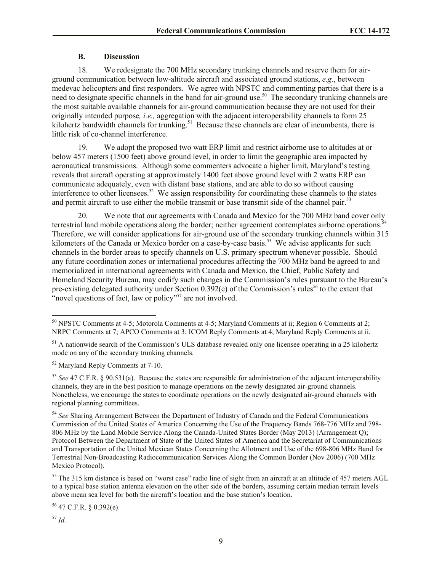### **B. Discussion**

18. We redesignate the 700 MHz secondary trunking channels and reserve them for airground communication between low-altitude aircraft and associated ground stations, *e.g.*, between medevac helicopters and first responders. We agree with NPSTC and commenting parties that there is a need to designate specific channels in the band for air-ground use.<sup>50</sup> The secondary trunking channels are the most suitable available channels for air-ground communication because they are not used for their originally intended purpose*, i.e.,* aggregation with the adjacent interoperability channels to form 25 kilohertz bandwidth channels for trunking.<sup>51</sup> Because these channels are clear of incumbents, there is little risk of co-channel interference.

19. We adopt the proposed two watt ERP limit and restrict airborne use to altitudes at or below 457 meters (1500 feet) above ground level, in order to limit the geographic area impacted by aeronautical transmissions. Although some commenters advocate a higher limit, Maryland's testing reveals that aircraft operating at approximately 1400 feet above ground level with 2 watts ERP can communicate adequately, even with distant base stations, and are able to do so without causing interference to other licensees. 52 We assign responsibility for coordinating these channels to the states and permit aircraft to use either the mobile transmit or base transmit side of the channel pair.<sup>53</sup>

20. We note that our agreements with Canada and Mexico for the 700 MHz band cover only terrestrial land mobile operations along the border; neither agreement contemplates airborne operations.<sup>54</sup> Therefore, we will consider applications for air-ground use of the secondary trunking channels within 315 kilometers of the Canada or Mexico border on a case-by-case basis.<sup>55</sup> We advise applicants for such channels in the border areas to specify channels on U.S. primary spectrum whenever possible. Should any future coordination zones or international procedures affecting the 700 MHz band be agreed to and memorialized in international agreements with Canada and Mexico, the Chief, Public Safety and Homeland Security Bureau, may codify such changes in the Commission's rules pursuant to the Bureau's pre-existing delegated authority under Section  $0.392(e)$  of the Commission's rules<sup>56</sup> to the extent that "novel questions of fact, law or policy"<sup>57</sup> are not involved.

 $56$  47 C.F.R. § 0.392(e).

<sup>57</sup> *Id.*

 $\overline{\phantom{a}}$ 

<sup>&</sup>lt;sup>50</sup> NPSTC Comments at 4-5; Motorola Comments at 4-5; Maryland Comments at ii; Region 6 Comments at 2; NRPC Comments at 7; APCO Comments at 3; ICOM Reply Comments at 4; Maryland Reply Comments at ii.

<sup>&</sup>lt;sup>51</sup> A nationwide search of the Commission's ULS database revealed only one licensee operating in a 25 kilohertz mode on any of the secondary trunking channels.

<sup>52</sup> Maryland Reply Comments at 7-10.

<sup>53</sup> *See* 47 C.F.R. § 90.531(a). Because the states are responsible for administration of the adjacent interoperability channels, they are in the best position to manage operations on the newly designated air-ground channels. Nonetheless, we encourage the states to coordinate operations on the newly designated air-ground channels with regional planning committees.

<sup>54</sup> *See* Sharing Arrangement Between the Department of Industry of Canada and the Federal Communications Commission of the United States of America Concerning the Use of the Frequency Bands 768-776 MHz and 798- 806 MHz by the Land Mobile Service Along the Canada-United States Border (May 2013) (Arrangement Q); Protocol Between the Department of State of the United States of America and the Secretariat of Communications and Transportation of the United Mexican States Concerning the Allotment and Use of the 698-806 MHz Band for Terrestrial Non-Broadcasting Radiocommunication Services Along the Common Border (Nov 2006) (700 MHz Mexico Protocol).

<sup>&</sup>lt;sup>55</sup> The 315 km distance is based on "worst case" radio line of sight from an aircraft at an altitude of 457 meters AGL to a typical base station antenna elevation on the other side of the borders, assuming certain median terrain levels above mean sea level for both the aircraft's location and the base station's location.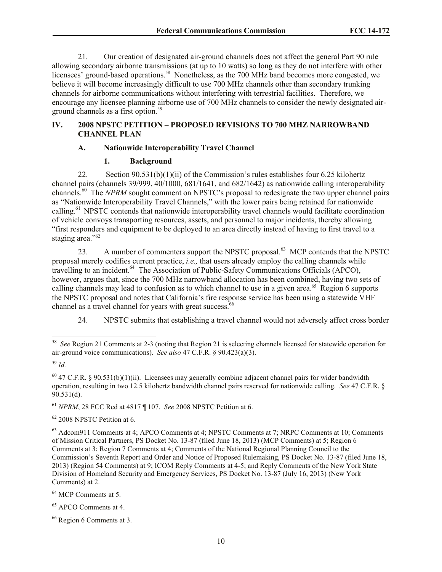21. Our creation of designated air-ground channels does not affect the general Part 90 rule allowing secondary airborne transmissions (at up to 10 watts) so long as they do not interfere with other licensees' ground-based operations.<sup>58</sup> Nonetheless, as the 700 MHz band becomes more congested, we believe it will become increasingly difficult to use 700 MHz channels other than secondary trunking channels for airborne communications without interfering with terrestrial facilities. Therefore, we encourage any licensee planning airborne use of 700 MHz channels to consider the newly designated airground channels as a first option.<sup>59</sup>

## **IV. 2008 NPSTC PETITION – PROPOSED REVISIONS TO 700 MHZ NARROWBAND CHANNEL PLAN**

## **A. Nationwide Interoperability Travel Channel**

## **1. Background**

22. Section 90.531(b)(1)(ii) of the Commission's rules establishes four 6.25 kilohertz channel pairs (channels 39/999, 40/1000, 681/1641, and 682/1642) as nationwide calling interoperability channels.<sup>60</sup> The *NPRM* sought comment on NPSTC's proposal to redesignate the two upper channel pairs as "Nationwide Interoperability Travel Channels," with the lower pairs being retained for nationwide calling.<sup>61</sup> NPSTC contends that nationwide interoperability travel channels would facilitate coordination of vehicle convoys transporting resources, assets, and personnel to major incidents, thereby allowing "first responders and equipment to be deployed to an area directly instead of having to first travel to a staging area."<sup>62</sup>

23. A number of commenters support the NPSTC proposal.<sup>63</sup> MCP contends that the NPSTC proposal merely codifies current practice, *i.e.,* that users already employ the calling channels while travelling to an incident.<sup>64</sup> The Association of Public-Safety Communications Officials (APCO), however, argues that, since the 700 MHz narrowband allocation has been combined, having two sets of calling channels may lead to confusion as to which channel to use in a given area.<sup>65</sup> Region 6 supports the NPSTC proposal and notes that California's fire response service has been using a statewide VHF channel as a travel channel for years with great success.<sup>66</sup>

24. NPSTC submits that establishing a travel channel would not adversely affect cross border

<sup>61</sup> *NPRM*, 28 FCC Rcd at 4817 ¶ 107. *See* 2008 NPSTC Petition at 6.

<sup>62</sup> 2008 NPSTC Petition at 6.

<sup>63</sup> Adcom911 Comments at 4; APCO Comments at 4; NPSTC Comments at 7; NRPC Comments at 10; Comments of Mission Critical Partners, PS Docket No. 13-87 (filed June 18, 2013) (MCP Comments) at 5; Region 6 Comments at 3; Region 7 Comments at 4; Comments of the National Regional Planning Council to the Commission's Seventh Report and Order and Notice of Proposed Rulemaking, PS Docket No. 13-87 (filed June 18, 2013) (Region 54 Comments) at 9; ICOM Reply Comments at 4-5; and Reply Comments of the New York State Division of Homeland Security and Emergency Services, PS Docket No. 13-87 (July 16, 2013) (New York Comments) at 2.

<sup>64</sup> MCP Comments at 5.

<sup>65</sup> APCO Comments at 4.

 58 *See* Region 21 Comments at 2-3 (noting that Region 21 is selecting channels licensed for statewide operation for air-ground voice communications). *See also* 47 C.F.R. § 90.423(a)(3).

<sup>59</sup> *Id.*

 $^{60}$  47 C.F.R. § 90.531(b)(1)(ii). Licensees may generally combine adjacent channel pairs for wider bandwidth operation, resulting in two 12.5 kilohertz bandwidth channel pairs reserved for nationwide calling. *See* 47 C.F.R. § 90.531(d).

<sup>66</sup> Region 6 Comments at 3.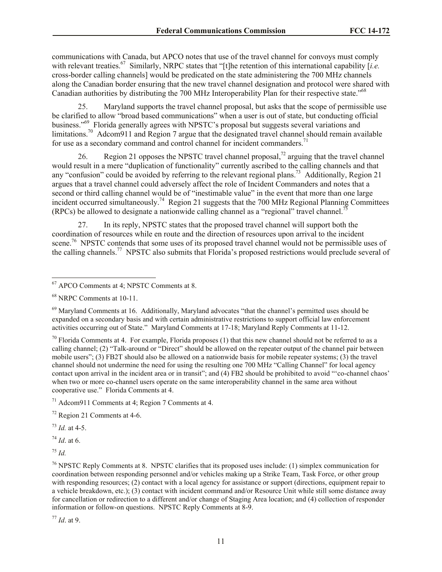communications with Canada, but APCO notes that use of the travel channel for convoys must comply with relevant treaties.<sup>67</sup> Similarly, NRPC states that "[t]he retention of this international capability [*i.e.* cross-border calling channels] would be predicated on the state administering the 700 MHz channels along the Canadian border ensuring that the new travel channel designation and protocol were shared with Canadian authorities by distributing the 700 MHz Interoperability Plan for their respective state."<sup>68</sup>

Maryland supports the travel channel proposal, but asks that the scope of permissible use be clarified to allow "broad based communications" when a user is out of state, but conducting official business."<sup>69</sup> Florida generally agrees with NPSTC's proposal but suggests several variations and limitations.<sup>70</sup> Adcom911 and Region 7 argue that the designated travel channel should remain available for use as a secondary command and control channel for incident commanders.<sup>71</sup>

26. Region 21 opposes the NPSTC travel channel proposal,<sup>72</sup> arguing that the travel channel would result in a mere "duplication of functionality" currently ascribed to the calling channels and that any "confusion" could be avoided by referring to the relevant regional plans.<sup>73</sup> Additionally, Region 21 argues that a travel channel could adversely affect the role of Incident Commanders and notes that a second or third calling channel would be of "inestimable value" in the event that more than one large incident occurred simultaneously.<sup>74</sup> Region 21 suggests that the 700 MHz Regional Planning Committees (RPCs) be allowed to designate a nationwide calling channel as a "regional" travel channel.<sup>75</sup>

27. In its reply, NPSTC states that the proposed travel channel will support both the coordination of resources while en route and the direction of resources upon arrival to the incident scene.<sup>76</sup> NPSTC contends that some uses of its proposed travel channel would not be permissible uses of the calling channels.<sup>77</sup> NPSTC also submits that Florida's proposed restrictions would preclude several of

 $69$  Maryland Comments at 16. Additionally, Maryland advocates "that the channel's permitted uses should be expanded on a secondary basis and with certain administrative restrictions to support official law enforcement activities occurring out of State." Maryland Comments at 17-18; Maryland Reply Comments at 11-12.

 $70$  Florida Comments at 4. For example, Florida proposes (1) that this new channel should not be referred to as a calling channel; (2) "Talk-around or "Direct" should be allowed on the repeater output of the channel pair between mobile users"; (3) FB2T should also be allowed on a nationwide basis for mobile repeater systems; (3) the travel channel should not undermine the need for using the resulting one 700 MHz "Calling Channel" for local agency contact upon arrival in the incident area or in transit"; and (4) FB2 should be prohibited to avoid "'co-channel chaos' when two or more co-channel users operate on the same interoperability channel in the same area without cooperative use." Florida Comments at 4.

<sup>71</sup> Adcom911 Comments at 4; Region 7 Comments at 4.

<sup>72</sup> Region 21 Comments at 4-6.

<sup>73</sup> *Id.* at 4-5.

 $^{74}$  *Id.* at 6.

<sup>75</sup> *Id.*

 $\overline{\phantom{a}}$ 

<sup>76</sup> NPSTC Reply Comments at 8. NPSTC clarifies that its proposed uses include: (1) simplex communication for coordination between responding personnel and/or vehicles making up a Strike Team, Task Force, or other group with responding resources; (2) contact with a local agency for assistance or support (directions, equipment repair to a vehicle breakdown, etc.); (3) contact with incident command and/or Resource Unit while still some distance away for cancellation or redirection to a different and/or change of Staging Area location; and (4) collection of responder information or follow-on questions. NPSTC Reply Comments at 8-9.

<sup>77</sup> *Id*. at 9.

<sup>67</sup> APCO Comments at 4; NPSTC Comments at 8.

<sup>68</sup> NRPC Comments at 10-11.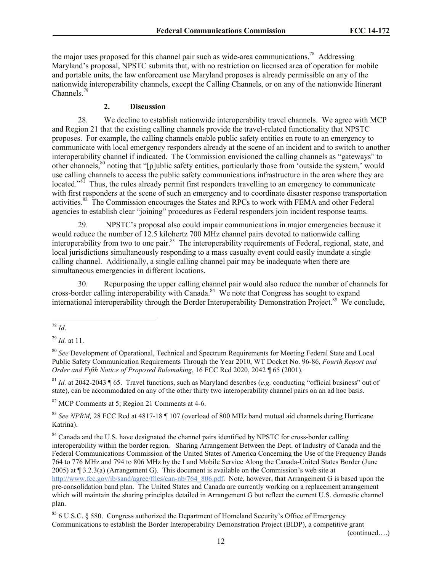the major uses proposed for this channel pair such as wide-area communications.<sup>78</sup> Addressing Maryland's proposal, NPSTC submits that, with no restriction on licensed area of operation for mobile and portable units, the law enforcement use Maryland proposes is already permissible on any of the nationwide interoperability channels, except the Calling Channels, or on any of the nationwide Itinerant Channels. $7<sup>5</sup>$ 

### **2. Discussion**

28. We decline to establish nationwide interoperability travel channels. We agree with MCP and Region 21 that the existing calling channels provide the travel-related functionality that NPSTC proposes. For example, the calling channels enable public safety entities en route to an emergency to communicate with local emergency responders already at the scene of an incident and to switch to another interoperability channel if indicated. The Commission envisioned the calling channels as "gateways" to other channels,<sup>80</sup> noting that "[p]ublic safety entities, particularly those from 'outside the system,' would use calling channels to access the public safety communications infrastructure in the area where they are located."<sup>81</sup> Thus, the rules already permit first responders travelling to an emergency to communicate with first responders at the scene of such an emergency and to coordinate disaster response transportation activities.<sup>82</sup> The Commission encourages the States and RPCs to work with FEMA and other Federal agencies to establish clear "joining" procedures as Federal responders join incident response teams.

29. NPSTC's proposal also could impair communications in major emergencies because it would reduce the number of 12.5 kilohertz 700 MHz channel pairs devoted to nationwide calling interoperability from two to one pair.<sup>83</sup> The interoperability requirements of Federal, regional, state, and local jurisdictions simultaneously responding to a mass casualty event could easily inundate a single calling channel. Additionally, a single calling channel pair may be inadequate when there are simultaneous emergencies in different locations.

30. Repurposing the upper calling channel pair would also reduce the number of channels for cross-border calling interoperability with Canada.<sup>84</sup> We note that Congress has sought to expand international interoperability through the Border Interoperability Demonstration Project.<sup>85</sup> We conclude,

<sup>81</sup> *Id.* at 2042-2043 ¶ 65. Travel functions, such as Maryland describes (*e.g.* conducting "official business" out of state), can be accommodated on any of the other thirty two interoperability channel pairs on an ad hoc basis.

<sup>82</sup> MCP Comments at 5; Region 21 Comments at 4-6.

<sup>83</sup> *See NPRM,* 28 FCC Rcd at 4817-18 ¶ 107 (overload of 800 MHz band mutual aid channels during Hurricane Katrina).

<sup>84</sup> Canada and the U.S. have designated the channel pairs identified by NPSTC for cross-border calling interoperability within the border region. Sharing Arrangement Between the Dept. of Industry of Canada and the Federal Communications Commission of the United States of America Concerning the Use of the Frequency Bands 764 to 776 MHz and 794 to 806 MHz by the Land Mobile Service Along the Canada-United States Border (June 2005) at ¶ 3.2.3(a) (Arrangement G). This document is available on the Commission's web site at http://www.fcc.gov/ib/sand/agree/files/can-nb/764\_806.pdf. Note, however, that Arrangement G is based upon the pre-consolidation band plan. The United States and Canada are currently working on a replacement arrangement which will maintain the sharing principles detailed in Arrangement G but reflect the current U.S. domestic channel plan.

(continued….)

 $\overline{\phantom{a}}$ <sup>78</sup> *Id*.

<sup>79</sup> *Id.* at 11.

<sup>80</sup> *See* Development of Operational, Technical and Spectrum Requirements for Meeting Federal State and Local Public Safety Communication Requirements Through the Year 2010, WT Docket No. 96-86, *Fourth Report and Order and Fifth Notice of Proposed Rulemaking*, 16 FCC Rcd 2020, 2042 ¶ 65 (2001).

<sup>85</sup> 6 U.S.C. § 580. Congress authorized the Department of Homeland Security's Office of Emergency Communications to establish the Border Interoperability Demonstration Project (BIDP), a competitive grant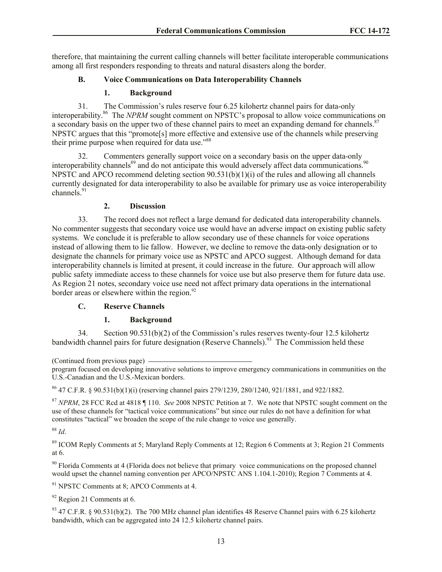therefore, that maintaining the current calling channels will better facilitate interoperable communications among all first responders responding to threats and natural disasters along the border.

## **B. Voice Communications on Data Interoperability Channels**

## **1. Background**

31. The Commission's rules reserve four 6.25 kilohertz channel pairs for data-only interoperability.<sup>86</sup> The *NPRM* sought comment on NPSTC's proposal to allow voice communications on a secondary basis on the upper two of these channel pairs to meet an expanding demand for channels.<sup>87</sup> NPSTC argues that this "promote[s] more effective and extensive use of the channels while preserving their prime purpose when required for data use."<sup>88</sup>

32. Commenters generally support voice on a secondary basis on the upper data-only interoperability channels $^{89}$  and do not anticipate this would adversely affect data communications.<sup>90</sup> NPSTC and APCO recommend deleting section  $90.531(b)(1)(i)$  of the rules and allowing all channels currently designated for data interoperability to also be available for primary use as voice interoperability channels.<sup>91</sup>

## **2. Discussion**

33. The record does not reflect a large demand for dedicated data interoperability channels. No commenter suggests that secondary voice use would have an adverse impact on existing public safety systems. We conclude it is preferable to allow secondary use of these channels for voice operations instead of allowing them to lie fallow. However, we decline to remove the data-only designation or to designate the channels for primary voice use as NPSTC and APCO suggest. Although demand for data interoperability channels is limited at present, it could increase in the future. Our approach will allow public safety immediate access to these channels for voice use but also preserve them for future data use. As Region 21 notes, secondary voice use need not affect primary data operations in the international border areas or elsewhere within the region. $92$ 

## **C. Reserve Channels**

## **1. Background**

34. Section 90.531(b)(2) of the Commission's rules reserves twenty-four 12.5 kilohertz bandwidth channel pairs for future designation (Reserve Channels).<sup>93</sup> The Commission held these

(Continued from previous page)

<sup>86</sup> 47 C.F.R. § 90.531(b)(1)(i) (reserving channel pairs 279/1239, 280/1240, 921/1881, and 922/1882.

<sup>87</sup> *NPRM*, 28 FCC Rcd at 4818 ¶ 110. *See* 2008 NPSTC Petition at 7. We note that NPSTC sought comment on the use of these channels for "tactical voice communications" but since our rules do not have a definition for what constitutes "tactical" we broaden the scope of the rule change to voice use generally.

<sup>88</sup> *Id*.

<sup>89</sup> ICOM Reply Comments at 5; Maryland Reply Comments at 12; Region 6 Comments at 3; Region 21 Comments at 6.

<sup>90</sup> Florida Comments at 4 (Florida does not believe that primary voice communications on the proposed channel would upset the channel naming convention per APCO/NPSTC ANS 1.104.1-2010); Region 7 Comments at 4.

<sup>91</sup> NPSTC Comments at 8; APCO Comments at 4.

 $92$  Region 21 Comments at 6.

 $93$  47 C.F.R. § 90.531(b)(2). The 700 MHz channel plan identifies 48 Reserve Channel pairs with 6.25 kilohertz bandwidth, which can be aggregated into 24 12.5 kilohertz channel pairs.

program focused on developing innovative solutions to improve emergency communications in communities on the U.S.-Canadian and the U.S.-Mexican borders.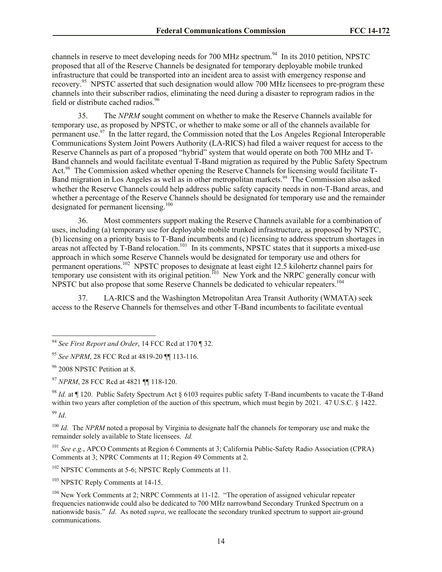channels in reserve to meet developing needs for 700 MHz spectrum.<sup>94</sup> In its 2010 petition, NPSTC proposed that all of the Reserve Channels be designated for temporary deployable mobile trunked infrastructure that could be transported into an incident area to assist with emergency response and recovery.<sup>95</sup> NPSTC asserted that such designation would allow 700 MHz licensees to pre-program these channels into their subscriber radios, eliminating the need during a disaster to reprogram radios in the field or distribute cached radios.<sup>96</sup>

35. The *NPRM* sought comment on whether to make the Reserve Channels available for temporary use, as proposed by NPSTC, or whether to make some or all of the channels available for permanent use.<sup>97</sup> In the latter regard, the Commission noted that the Los Angeles Regional Interoperable Communications System Joint Powers Authority (LA-RICS) had filed a waiver request for access to the Reserve Channels as part of a proposed "hybrid" system that would operate on both 700 MHz and T-Band channels and would facilitate eventual T-Band migration as required by the Public Safety Spectrum Act.<sup>98</sup> The Commission asked whether opening the Reserve Channels for licensing would facilitate T-Band migration in Los Angeles as well as in other metropolitan markets.<sup>99</sup> The Commission also asked whether the Reserve Channels could help address public safety capacity needs in non-T-Band areas, and whether a percentage of the Reserve Channels should be designated for temporary use and the remainder designated for permanent licensing.<sup>100</sup>

36. Most commenters support making the Reserve Channels available for a combination of uses, including (a) temporary use for deployable mobile trunked infrastructure, as proposed by NPSTC, (b) licensing on a priority basis to T-Band incumbents and (c) licensing to address spectrum shortages in areas not affected by T-Band relocation.<sup>101</sup> In its comments, NPSTC states that it supports a mixed-use approach in which some Reserve Channels would be designated for temporary use and others for permanent operations.<sup>102</sup> NPSTC proposes to designate at least eight 12.5 kilohertz channel pairs for temporary use consistent with its original petition.<sup>103</sup> New York and the NRPC generally concur with NPSTC but also propose that some Reserve Channels be dedicated to vehicular repeaters.<sup>104</sup>

37. LA-RICS and the Washington Metropolitan Area Transit Authority (WMATA) seek access to the Reserve Channels for themselves and other T-Band incumbents to facilitate eventual

<sup>98</sup> *Id.* at ¶ 120. Public Safety Spectrum Act § 6103 requires public safety T-Band incumbents to vacate the T-Band within two years after completion of the auction of this spectrum, which must begin by 2021. 47 U.S.C. § 1422. <sup>99</sup> *Id*.

l

<sup>100</sup> *Id.* The *NPRM* noted a proposal by Virginia to designate half the channels for temporary use and make the remainder solely available to State licensees. *Id.*

<sup>101</sup> *See e.g.*, APCO Comments at Region 6 Comments at 3; California Public-Safety Radio Association (CPRA) Comments at 3; NPRC Comments at 11; Region 49 Comments at 2.

<sup>102</sup> NPSTC Comments at 5-6; NPSTC Reply Comments at 11.

<sup>103</sup> NPSTC Reply Comments at 14-15.

<sup>94</sup> *See First Report and Order*, 14 FCC Rcd at 170 ¶ 32.

<sup>95</sup> *See NPRM*, 28 FCC Rcd at 4819-20 ¶¶ 113-116.

<sup>&</sup>lt;sup>96</sup> 2008 NPSTC Petition at 8.

<sup>97</sup> *NPRM*, 28 FCC Rcd at 4821 ¶¶ 118-120.

<sup>&</sup>lt;sup>104</sup> New York Comments at 2; NRPC Comments at 11-12. "The operation of assigned vehicular repeater frequencies nationwide could also be dedicated to 700 MHz narrowband Secondary Trunked Spectrum on a nationwide basis." *Id*. As noted *supra*, we reallocate the secondary trunked spectrum to support air-ground communications.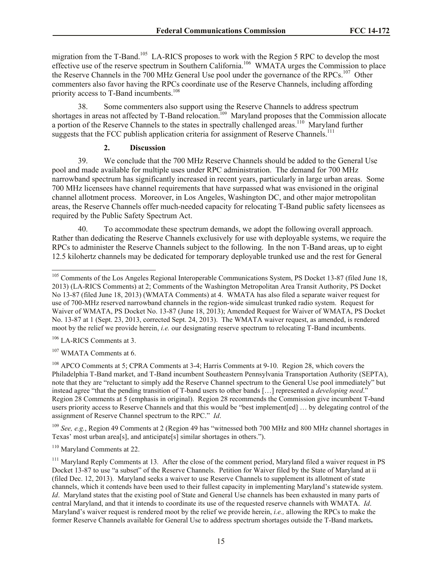migration from the T-Band.<sup>105</sup> LA-RICS proposes to work with the Region 5 RPC to develop the most effective use of the reserve spectrum in Southern California.<sup>106</sup> WMATA urges the Commission to place the Reserve Channels in the 700 MHz General Use pool under the governance of the RPCs.<sup>107</sup> Other commenters also favor having the RPCs coordinate use of the Reserve Channels, including affording priority access to T-Band incumbents.<sup>108</sup>

38. Some commenters also support using the Reserve Channels to address spectrum shortages in areas not affected by T-Band relocation.<sup>109</sup> Maryland proposes that the Commission allocate a portion of the Reserve Channels to the states in spectrally challenged areas.<sup>110</sup> Maryland further suggests that the FCC publish application criteria for assignment of Reserve Channels.<sup>111</sup>

### **2. Discussion**

39. We conclude that the 700 MHz Reserve Channels should be added to the General Use pool and made available for multiple uses under RPC administration. The demand for 700 MHz narrowband spectrum has significantly increased in recent years, particularly in large urban areas. Some 700 MHz licensees have channel requirements that have surpassed what was envisioned in the original channel allotment process. Moreover, in Los Angeles, Washington DC, and other major metropolitan areas, the Reserve Channels offer much-needed capacity for relocating T-Band public safety licensees as required by the Public Safety Spectrum Act.

40. To accommodate these spectrum demands, we adopt the following overall approach. Rather than dedicating the Reserve Channels exclusively for use with deployable systems, we require the RPCs to administer the Reserve Channels subject to the following. In the non T-Band areas, up to eight 12.5 kilohertz channels may be dedicated for temporary deployable trunked use and the rest for General

<sup>106</sup> LA-RICS Comments at 3.

<sup>107</sup> WMATA Comments at 6.

<sup>109</sup> *See, e.g.*, Region 49 Comments at 2 (Region 49 has "witnessed both 700 MHz and 800 MHz channel shortages in Texas' most urban area[s], and anticipate[s] similar shortages in others.").

<sup>110</sup> Maryland Comments at 22.

 $\overline{\phantom{a}}$ <sup>105</sup> Comments of the Los Angeles Regional Interoperable Communications System, PS Docket 13-87 (filed June 18, 2013) (LA-RICS Comments) at 2; Comments of the Washington Metropolitan Area Transit Authority, PS Docket No 13-87 (filed June 18, 2013) (WMATA Comments) at 4. WMATA has also filed a separate waiver request for use of 700-MHz reserved narrowband channels in the region-wide simulcast trunked radio system. Request for Waiver of WMATA, PS Docket No. 13-87 (June 18, 2013); Amended Request for Waiver of WMATA, PS Docket No. 13-87 at 1 (Sept. 23, 2013, corrected Sept. 24, 2013). The WMATA waiver request, as amended, is rendered moot by the relief we provide herein, *i.e.* our designating reserve spectrum to relocating T-Band incumbents.

<sup>108</sup> APCO Comments at 5; CPRA Comments at 3-4; Harris Comments at 9-10. Region 28, which covers the Philadelphia T-Band market, and T-Band incumbent Southeastern Pennsylvania Transportation Authority (SEPTA), note that they are "reluctant to simply add the Reserve Channel spectrum to the General Use pool immediately" but instead agree "that the pending transition of T-band users to other bands […] represented a *developing need*." Region 28 Comments at 5 (emphasis in original). Region 28 recommends the Commission give incumbent T-band users priority access to Reserve Channels and that this would be "best implement[ed] … by delegating control of the assignment of Reserve Channel spectrum to the RPC." *Id*.

<sup>&</sup>lt;sup>111</sup> Maryland Reply Comments at 13. After the close of the comment period, Maryland filed a waiver request in PS Docket 13-87 to use "a subset" of the Reserve Channels. Petition for Waiver filed by the State of Maryland at ii (filed Dec. 12, 2013). Maryland seeks a waiver to use Reserve Channels to supplement its allotment of state channels, which it contends have been used to their fullest capacity in implementing Maryland's statewide system. *Id*. Maryland states that the existing pool of State and General Use channels has been exhausted in many parts of central Maryland, and that it intends to coordinate its use of the requested reserve channels with WMATA. *Id*. Maryland's waiver request is rendered moot by the relief we provide herein, *i.e.,* allowing the RPCs to make the former Reserve Channels available for General Use to address spectrum shortages outside the T-Band markets**.**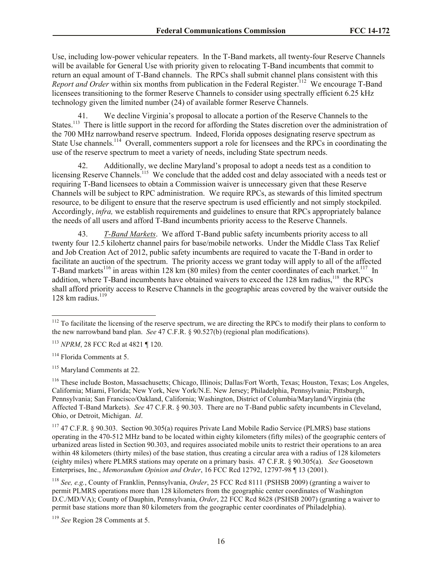Use, including low-power vehicular repeaters. In the T-Band markets, all twenty-four Reserve Channels will be available for General Use with priority given to relocating T-Band incumbents that commit to return an equal amount of T-Band channels. The RPCs shall submit channel plans consistent with this *Report and Order* within six months from publication in the Federal Register.<sup>112</sup> We encourage T-Band licensees transitioning to the former Reserve Channels to consider using spectrally efficient 6.25 kHz technology given the limited number (24) of available former Reserve Channels.

41. We decline Virginia's proposal to allocate a portion of the Reserve Channels to the States.<sup>113</sup> There is little support in the record for affording the States discretion over the administration of the 700 MHz narrowband reserve spectrum. Indeed, Florida opposes designating reserve spectrum as State Use channels.<sup>114</sup> Overall, commenters support a role for licensees and the RPCs in coordinating the use of the reserve spectrum to meet a variety of needs, including State spectrum needs.

42. Additionally, we decline Maryland's proposal to adopt a needs test as a condition to licensing Reserve Channels.<sup>115</sup> We conclude that the added cost and delay associated with a needs test or requiring T-Band licensees to obtain a Commission waiver is unnecessary given that these Reserve Channels will be subject to RPC administration. We require RPCs, as stewards of this limited spectrum resource, to be diligent to ensure that the reserve spectrum is used efficiently and not simply stockpiled. Accordingly, *infra,* we establish requirements and guidelines to ensure that RPCs appropriately balance the needs of all users and afford T-Band incumbents priority access to the Reserve Channels.

43. *T-Band Markets*. We afford T-Band public safety incumbents priority access to all twenty four 12.5 kilohertz channel pairs for base/mobile networks. Under the Middle Class Tax Relief and Job Creation Act of 2012, public safety incumbents are required to vacate the T-Band in order to facilitate an auction of the spectrum. The priority access we grant today will apply to all of the affected T-Band markets<sup>116</sup> in areas within 128 km (80 miles) from the center coordinates of each market.<sup>117</sup> In addition, where T-Band incumbents have obtained waivers to exceed the 128 km radius,<sup>118</sup> the RPCs shall afford priority access to Reserve Channels in the geographic areas covered by the waiver outside the 128 km radius. $119$ 

 $\overline{\phantom{a}}$ 

<sup>115</sup> Maryland Comments at 22.

<sup>116</sup> These include Boston, Massachusetts; Chicago, Illinois; Dallas/Fort Worth, Texas; Houston, Texas; Los Angeles, California; Miami, Florida; New York, New York/N.E. New Jersey; Philadelphia, Pennsylvania; Pittsburgh, Pennsylvania; San Francisco/Oakland, California; Washington, District of Columbia/Maryland/Virginia (the Affected T-Band Markets). *See* 47 C.F.R. § 90.303. There are no T-Band public safety incumbents in Cleveland, Ohio, or Detroit, Michigan. *Id*.

<sup>117</sup> 47 C.F.R. § 90.303. Section 90.305(a) requires Private Land Mobile Radio Service (PLMRS) base stations operating in the 470-512 MHz band to be located within eighty kilometers (fifty miles) of the geographic centers of urbanized areas listed in Section 90.303, and requires associated mobile units to restrict their operations to an area within 48 kilometers (thirty miles) of the base station, thus creating a circular area with a radius of 128 kilometers (eighty miles) where PLMRS stations may operate on a primary basis. 47 C.F.R. § 90.305(a). *See* Goosetown Enterprises, Inc., *Memorandum Opinion and Order*, 16 FCC Rcd 12792, 12797-98 ¶ 13 (2001).

<sup>118</sup> *See, e.g.*, County of Franklin, Pennsylvania, *Order*, 25 FCC Rcd 8111 (PSHSB 2009) (granting a waiver to permit PLMRS operations more than 128 kilometers from the geographic center coordinates of Washington D.C./MD/VA); County of Dauphin, Pennsylvania, *Order*, 22 FCC Rcd 8628 (PSHSB 2007) (granting a waiver to permit base stations more than 80 kilometers from the geographic center coordinates of Philadelphia).

<sup>119</sup> *See* Region 28 Comments at 5.

 $112$  To facilitate the licensing of the reserve spectrum, we are directing the RPCs to modify their plans to conform to the new narrowband band plan. *See* 47 C.F.R. § 90.527(b) (regional plan modifications).

<sup>113</sup> *NPRM*, 28 FCC Rcd at 4821 ¶ 120.

<sup>&</sup>lt;sup>114</sup> Florida Comments at 5.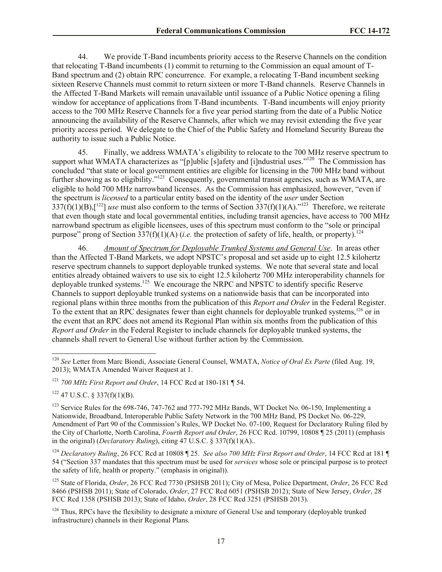44. We provide T-Band incumbents priority access to the Reserve Channels on the condition that relocating T-Band incumbents (1) commit to returning to the Commission an equal amount of T-Band spectrum and (2) obtain RPC concurrence. For example, a relocating T-Band incumbent seeking sixteen Reserve Channels must commit to return sixteen or more T-Band channels. Reserve Channels in the Affected T-Band Markets will remain unavailable until issuance of a Public Notice opening a filing window for acceptance of applications from T-Band incumbents. T-Band incumbents will enjoy priority access to the 700 MHz Reserve Channels for a five year period starting from the date of a Public Notice announcing the availability of the Reserve Channels, after which we may revisit extending the five year priority access period. We delegate to the Chief of the Public Safety and Homeland Security Bureau the authority to issue such a Public Notice.

45. Finally, we address WMATA's eligibility to relocate to the 700 MHz reserve spectrum to support what WMATA characterizes as "[p]ublic [s]afety and [i]ndustrial uses."<sup>120</sup> The Commission has concluded "that state or local government entities are eligible for licensing in the 700 MHz band without further showing as to eligibility."<sup>121</sup> Consequently, governmental transit agencies, such as WMATA, are eligible to hold 700 MHz narrowband licenses. As the Commission has emphasized, however, "even if the spectrum is *licensed* to a particular entity based on the identity of the *user* under Section  $337(f)(1)(B)$ ,[<sup>122</sup>] *use* must also conform to the terms of Section  $337(f)(1)(A)$ ."<sup>123</sup> Therefore, we reiterate that even though state and local governmental entities, including transit agencies, have access to 700 MHz narrowband spectrum as eligible licensees, uses of this spectrum must conform to the "sole or principal purpose" prong of Section 337(f)(1)(A) (*i.e.* the protection of safety of life, health, or property). 124

46. *Amount of Spectrum for Deployable Trunked Systems and General Use*. In areas other than the Affected T-Band Markets, we adopt NPSTC's proposal and set aside up to eight 12.5 kilohertz reserve spectrum channels to support deployable trunked systems. We note that several state and local entities already obtained waivers to use six to eight 12.5 kilohertz 700 MHz interoperability channels for deployable trunked systems.<sup>125</sup> We encourage the NRPC and NPSTC to identify specific Reserve Channels to support deployable trunked systems on a nationwide basis that can be incorporated into regional plans within three months from the publication of this *Report and Order* in the Federal Register. To the extent that an RPC designates fewer than eight channels for deployable trunked systems,<sup>126</sup> or in the event that an RPC does not amend its Regional Plan within six months from the publication of this *Report and Order* in the Federal Register to include channels for deployable trunked systems, the channels shall revert to General Use without further action by the Commission.

 $\overline{a}$ 

<sup>120</sup> *See* Letter from Marc Biondi, Associate General Counsel, WMATA, *Notice of Oral Ex Parte* (filed Aug. 19, 2013); WMATA Amended Waiver Request at 1.

<sup>121</sup> *700 MHz First Report and Order*, 14 FCC Rcd at 180-181 ¶ 54.

 $122$  47 U.S.C. § 337(f)(1)(B).

<sup>&</sup>lt;sup>123</sup> Service Rules for the 698-746, 747-762 and 777-792 MHz Bands, WT Docket No. 06-150, Implementing a Nationwide, Broadband, Interoperable Public Safety Network in the 700 MHz Band, PS Docket No. 06-229, Amendment of Part 90 of the Commission's Rules, WP Docket No. 07-100, Request for Declaratory Ruling filed by the City of Charlotte, North Carolina, *Fourth Report and Order*, 26 FCC Rcd. 10799, 10808 ¶ 25 (2011) (emphasis in the original) (*Declaratory Ruling*), citing 47 U.S.C. § 337(f)(1)(A)..

<sup>124</sup> *Declaratory Ruling*, 26 FCC Rcd at 10808 ¶ 25. *See also 700 MHz First Report and Order*, 14 FCC Rcd at 181 ¶ 54 ("Section 337 mandates that this spectrum must be used for *services* whose sole or principal purpose is to protect the safety of life, health or property." (emphasis in original)).

<sup>125</sup> State of Florida, *Order*, 26 FCC Rcd 7730 (PSHSB 2011); City of Mesa, Police Department, *Order*, 26 FCC Rcd 8466 (PSHSB 2011); State of Colorado, *Order*, 27 FCC Rcd 6051 (PSHSB 2012); State of New Jersey, *Order*, 28 FCC Rcd 1358 (PSHSB 2013); State of Idaho, *Order*, 28 FCC Rcd 3251 (PSHSB 2013).

<sup>&</sup>lt;sup>126</sup> Thus, RPCs have the flexibility to designate a mixture of General Use and temporary (deployable trunked infrastructure) channels in their Regional Plans.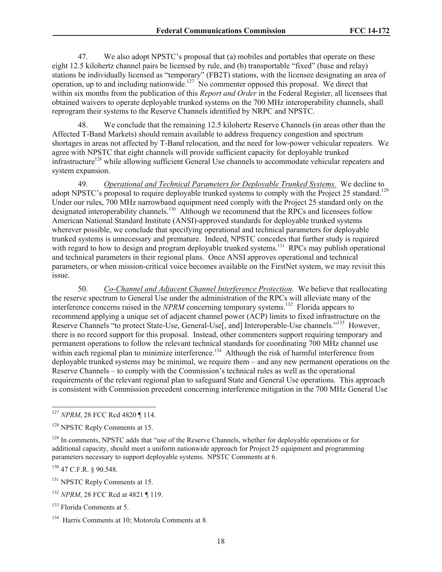47. We also adopt NPSTC's proposal that (a) mobiles and portables that operate on these eight 12.5 kilohertz channel pairs be licensed by rule, and (b) transportable "fixed" (base and relay) stations be individually licensed as "temporary" (FB2T) stations, with the licensee designating an area of operation, up to and including nationwide.<sup>127</sup> No commenter opposed this proposal. We direct that within six months from the publication of this *Report and Order* in the Federal Register, all licensees that obtained waivers to operate deployable trunked systems on the 700 MHz interoperability channels, shall reprogram their systems to the Reserve Channels identified by NRPC and NPSTC.

48. We conclude that the remaining 12.5 kilohertz Reserve Channels (in areas other than the Affected T-Band Markets) should remain available to address frequency congestion and spectrum shortages in areas not affected by T-Band relocation, and the need for low-power vehicular repeaters. We agree with NPSTC that eight channels will provide sufficient capacity for deployable trunked infrastructure<sup>128</sup> while allowing sufficient General Use channels to accommodate vehicular repeaters and system expansion.

49. *Operational and Technical Parameters for Deployable Trunked Systems.* We decline to adopt NPSTC's proposal to require deployable trunked systems to comply with the Project 25 standard.<sup>129</sup> Under our rules, 700 MHz narrowband equipment need comply with the Project 25 standard only on the designated interoperability channels.<sup>130</sup> Although we recommend that the RPCs and licensees follow American National Standard Institute (ANSI)-approved standards for deployable trunked systems wherever possible, we conclude that specifying operational and technical parameters for deployable trunked systems is unnecessary and premature. Indeed, NPSTC concedes that further study is required with regard to how to design and program deployable trunked systems.<sup>131</sup> RPCs may publish operational and technical parameters in their regional plans. Once ANSI approves operational and technical parameters, or when mission-critical voice becomes available on the FirstNet system, we may revisit this issue.

50. *Co-Channel and Adjacent Channel Interference Protection*. We believe that reallocating the reserve spectrum to General Use under the administration of the RPCs will alleviate many of the interference concerns raised in the *NPRM* concerning temporary systems. <sup>132</sup> Florida appears to recommend applying a unique set of adjacent channel power (ACP) limits to fixed infrastructure on the Reserve Channels "to protect State-Use, General-Use<sup>[, and]</sup> Interoperable-Use channels."<sup>133</sup> However, there is no record support for this proposal. Instead, other commenters support requiring temporary and permanent operations to follow the relevant technical standards for coordinating 700 MHz channel use within each regional plan to minimize interference.<sup>134</sup> Although the risk of harmful interference from deployable trunked systems may be minimal, we require them – and any new permanent operations on the Reserve Channels – to comply with the Commission's technical rules as well as the operational requirements of the relevant regional plan to safeguard State and General Use operations. This approach is consistent with Commission precedent concerning interference mitigation in the 700 MHz General Use

<sup>130</sup> 47 C.F.R. § 90.548.

l

<sup>127</sup> *NPRM*, 28 FCC Rcd 4820 ¶ 114.

<sup>&</sup>lt;sup>128</sup> NPSTC Reply Comments at 15.

<sup>&</sup>lt;sup>129</sup> In comments, NPSTC adds that "use of the Reserve Channels, whether for deployable operations or for additional capacity, should meet a uniform nationwide approach for Project 25 equipment and programming parameters necessary to support deployable systems. NPSTC Comments at 6.

<sup>&</sup>lt;sup>131</sup> NPSTC Reply Comments at 15.

<sup>&</sup>lt;sup>132</sup> *NPRM*, 28 FCC Rcd at 4821 ¶ 119.

<sup>133</sup> Florida Comments at 5.

<sup>&</sup>lt;sup>134</sup> Harris Comments at 10; Motorola Comments at 8.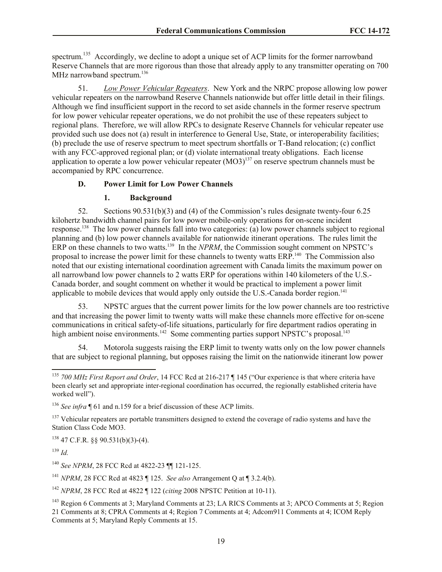spectrum.<sup>135</sup> Accordingly, we decline to adopt a unique set of ACP limits for the former narrowband Reserve Channels that are more rigorous than those that already apply to any transmitter operating on 700 MHz narrowband spectrum.<sup>136</sup>

51. *Low Power Vehicular Repeaters*. New York and the NRPC propose allowing low power vehicular repeaters on the narrowband Reserve Channels nationwide but offer little detail in their filings. Although we find insufficient support in the record to set aside channels in the former reserve spectrum for low power vehicular repeater operations, we do not prohibit the use of these repeaters subject to regional plans. Therefore, we will allow RPCs to designate Reserve Channels for vehicular repeater use provided such use does not (a) result in interference to General Use, State, or interoperability facilities; (b) preclude the use of reserve spectrum to meet spectrum shortfalls or T-Band relocation; (c) conflict with any FCC-approved regional plan; or (d) violate international treaty obligations. Each license application to operate a low power vehicular repeater  $(MO3)^{137}$  on reserve spectrum channels must be accompanied by RPC concurrence.

## **D. Power Limit for Low Power Channels**

## **1. Background**

52. Sections 90.531(b)(3) and (4) of the Commission's rules designate twenty-four 6.25 kilohertz bandwidth channel pairs for low power mobile-only operations for on-scene incident response.<sup>138</sup> The low power channels fall into two categories: (a) low power channels subject to regional planning and (b) low power channels available for nationwide itinerant operations. The rules limit the ERP on these channels to two watts.<sup>139</sup> In the *NPRM*, the Commission sought comment on NPSTC's proposal to increase the power limit for these channels to twenty watts ERP.<sup>140</sup> The Commission also noted that our existing international coordination agreement with Canada limits the maximum power on all narrowband low power channels to 2 watts ERP for operations within 140 kilometers of the U.S.- Canada border, and sought comment on whether it would be practical to implement a power limit applicable to mobile devices that would apply only outside the U.S.-Canada border region.<sup>141</sup>

53. NPSTC argues that the current power limits for the low power channels are too restrictive and that increasing the power limit to twenty watts will make these channels more effective for on-scene communications in critical safety-of-life situations, particularly for fire department radios operating in high ambient noise environments.<sup>142</sup> Some commenting parties support NPSTC's proposal.<sup>143</sup>

54. Motorola suggests raising the ERP limit to twenty watts only on the low power channels that are subject to regional planning, but opposes raising the limit on the nationwide itinerant low power

 $138$  47 C.F.R. §§ 90.531(b)(3)-(4).

<sup>139</sup> *Id.*

<sup>141</sup> *NPRM*, 28 FCC Rcd at 4823 ¶ 125. *See also* Arrangement Q at ¶ 3.2.4(b).

<sup>142</sup> *NPRM*, 28 FCC Rcd at 4822 ¶ 122 (*citing* 2008 NPSTC Petition at 10-11).

l <sup>135</sup> *700 MHz First Report and Order*, 14 FCC Rcd at 216-217 ¶ 145 ("Our experience is that where criteria have been clearly set and appropriate inter-regional coordination has occurred, the regionally established criteria have worked well").

<sup>136</sup> *See infra* ¶ 61 and n.159 for a brief discussion of these ACP limits.

<sup>&</sup>lt;sup>137</sup> Vehicular repeaters are portable transmitters designed to extend the coverage of radio systems and have the Station Class Code MO3.

<sup>140</sup> *See NPRM*, 28 FCC Rcd at 4822-23 ¶¶ 121-125.

<sup>&</sup>lt;sup>143</sup> Region 6 Comments at 3: Maryland Comments at 23: LA RICS Comments at 3: APCO Comments at 5: Region 21 Comments at 8; CPRA Comments at 4; Region 7 Comments at 4; Adcom911 Comments at 4; ICOM Reply Comments at 5; Maryland Reply Comments at 15.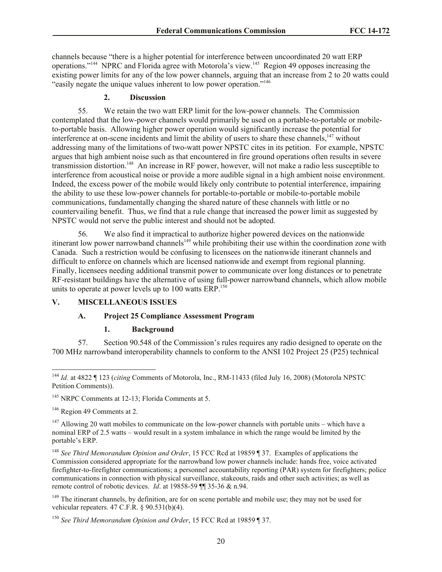channels because "there is a higher potential for interference between uncoordinated 20 watt ERP operations."<sup>144</sup> NPRC and Florida agree with Motorola's view.<sup>145</sup> Region 49 opposes increasing the existing power limits for any of the low power channels, arguing that an increase from 2 to 20 watts could "easily negate the unique values inherent to low power operation."<sup>146</sup>

#### **2. Discussion**

55. We retain the two watt ERP limit for the low-power channels. The Commission contemplated that the low-power channels would primarily be used on a portable-to-portable or mobileto-portable basis. Allowing higher power operation would significantly increase the potential for interference at on-scene incidents and limit the ability of users to share these channels,<sup>147</sup> without addressing many of the limitations of two-watt power NPSTC cites in its petition. For example, NPSTC argues that high ambient noise such as that encountered in fire ground operations often results in severe transmission distortion.<sup>148</sup> An increase in RF power, however, will not make a radio less susceptible to interference from acoustical noise or provide a more audible signal in a high ambient noise environment. Indeed, the excess power of the mobile would likely only contribute to potential interference, impairing the ability to use these low-power channels for portable-to-portable or mobile-to-portable mobile communications, fundamentally changing the shared nature of these channels with little or no countervailing benefit. Thus, we find that a rule change that increased the power limit as suggested by NPSTC would not serve the public interest and should not be adopted.

56. We also find it impractical to authorize higher powered devices on the nationwide itinerant low power narrowband channels<sup>149</sup> while prohibiting their use within the coordination zone with Canada. Such a restriction would be confusing to licensees on the nationwide itinerant channels and difficult to enforce on channels which are licensed nationwide and exempt from regional planning. Finally, licensees needing additional transmit power to communicate over long distances or to penetrate RF-resistant buildings have the alternative of using full-power narrowband channels, which allow mobile units to operate at power levels up to  $100$  watts ERP.<sup>150</sup>

## **V. MISCELLANEOUS ISSUES**

## **A. Project 25 Compliance Assessment Program**

#### **1. Background**

57. Section 90.548 of the Commission's rules requires any radio designed to operate on the 700 MHz narrowband interoperability channels to conform to the ANSI 102 Project 25 (P25) technical

<sup>145</sup> NRPC Comments at 12-13: Florida Comments at 5.

<sup>146</sup> Region 49 Comments at 2.

 $\overline{\phantom{a}}$ 

 $147$  Allowing 20 watt mobiles to communicate on the low-power channels with portable units – which have a nominal ERP of 2.5 watts – would result in a system imbalance in which the range would be limited by the portable's ERP.

<sup>148</sup> *See Third Memorandum Opinion and Order*, 15 FCC Rcd at 19859 ¶ 37. Examples of applications the Commission considered appropriate for the narrowband low power channels include: hands free, voice activated firefighter-to-firefighter communications; a personnel accountability reporting (PAR) system for firefighters; police communications in connection with physical surveillance, stakeouts, raids and other such activities; as well as remote control of robotic devices. *Id*. at 19858-59 ¶¶ 35-36 & n.94.

<sup>149</sup> The itinerant channels, by definition, are for on scene portable and mobile use; they may not be used for vehicular repeaters. 47 C.F.R. § 90.531(b)(4).

<sup>150</sup> *See Third Memorandum Opinion and Order*, 15 FCC Rcd at 19859 ¶ 37.

<sup>144</sup> *Id.* at 4822 ¶ 123 (*citing* Comments of Motorola, Inc., RM-11433 (filed July 16, 2008) (Motorola NPSTC Petition Comments)).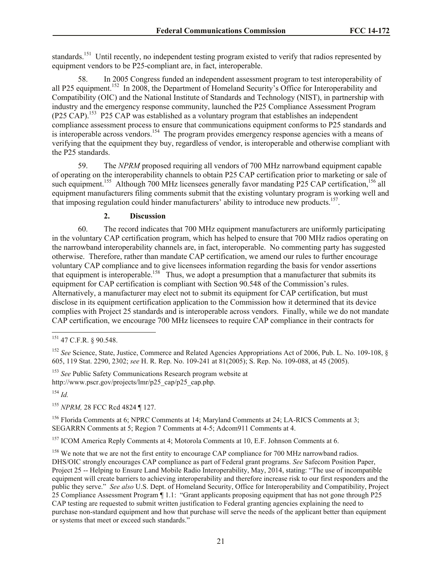standards.<sup>151</sup> Until recently, no independent testing program existed to verify that radios represented by equipment vendors to be P25-compliant are, in fact, interoperable.

58. In 2005 Congress funded an independent assessment program to test interoperability of all P25 equipment.<sup>152</sup> In 2008, the Department of Homeland Security's Office for Interoperability and Compatibility (OIC) and the National Institute of Standards and Technology (NIST), in partnership with industry and the emergency response community, launched the P25 Compliance Assessment Program (P25 CAP).<sup>153</sup> P25 CAP was established as a voluntary program that establishes an independent compliance assessment process to ensure that communications equipment conforms to P25 standards and is interoperable across vendors.<sup>154</sup> The program provides emergency response agencies with a means of verifying that the equipment they buy, regardless of vendor, is interoperable and otherwise compliant with the P25 standards.

59. The *NPRM* proposed requiring all vendors of 700 MHz narrowband equipment capable of operating on the interoperability channels to obtain P25 CAP certification prior to marketing or sale of such equipment.<sup>155</sup> Although 700 MHz licensees generally favor mandating P25 CAP certification,<sup>156</sup> all equipment manufacturers filing comments submit that the existing voluntary program is working well and that imposing regulation could hinder manufacturers' ability to introduce new products.<sup>157</sup>.

#### **2. Discussion**

60. The record indicates that 700 MHz equipment manufacturers are uniformly participating in the voluntary CAP certification program, which has helped to ensure that 700 MHz radios operating on the narrowband interoperability channels are, in fact, interoperable. No commenting party has suggested otherwise. Therefore, rather than mandate CAP certification, we amend our rules to further encourage voluntary CAP compliance and to give licensees information regarding the basis for vendor assertions that equipment is interoperable.<sup>158</sup> Thus, we adopt a presumption that a manufacturer that submits its equipment for CAP certification is compliant with Section 90.548 of the Commission's rules. Alternatively, a manufacturer may elect not to submit its equipment for CAP certification, but must disclose in its equipment certification application to the Commission how it determined that its device complies with Project 25 standards and is interoperable across vendors. Finally, while we do not mandate CAP certification, we encourage 700 MHz licensees to require CAP compliance in their contracts for

<sup>153</sup> *See* Public Safety Communications Research program website at http://www.pscr.gov/projects/lmr/p25\_cap/p25\_cap.php.

<sup>154</sup> *Id.*

<sup>155</sup> *NPRM,* 28 FCC Rcd 4824 ¶ 127.

<sup>156</sup> Florida Comments at 6; NPRC Comments at 14; Maryland Comments at 24; LA-RICS Comments at 3: SEGARRN Comments at 5; Region 7 Comments at 4-5; Adcom911 Comments at 4.

<sup>157</sup> ICOM America Reply Comments at 4; Motorola Comments at 10, E.F. Johnson Comments at 6.

<sup>158</sup> We note that we are not the first entity to encourage CAP compliance for 700 MHz narrowband radios. DHS/OIC strongly encourages CAP compliance as part of Federal grant programs. *See* Safecom Position Paper, Project 25 -- Helping to Ensure Land Mobile Radio Interoperability, May, 2014, stating: "The use of incompatible equipment will create barriers to achieving interoperability and therefore increase risk to our first responders and the public they serve." *See also* U.S. Dept. of Homeland Security, Office for Interoperability and Compatibility, Project 25 Compliance Assessment Program ¶ 1.1: "Grant applicants proposing equipment that has not gone through P25 CAP testing are requested to submit written justification to Federal granting agencies explaining the need to purchase non-standard equipment and how that purchase will serve the needs of the applicant better than equipment or systems that meet or exceed such standards."

l <sup>151</sup> 47 C.F.R. § 90.548.

<sup>&</sup>lt;sup>152</sup> *See* Science, State, Justice, Commerce and Related Agencies Appropriations Act of 2006, Pub. L. No. 109-108, § 605, 119 Stat. 2290, 2302; *see* H. R. Rep. No. 109-241 at 81(2005); S. Rep. No. 109-088, at 45 (2005).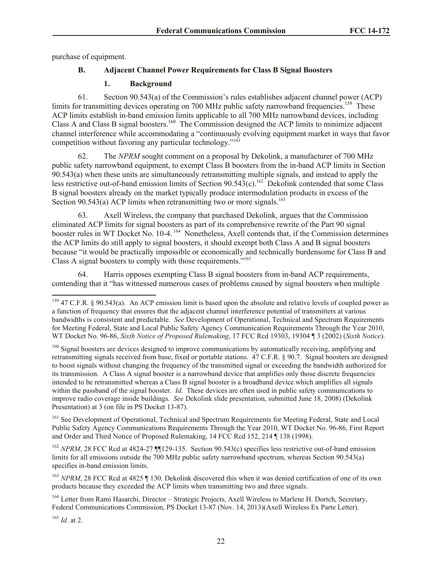purchase of equipment.

## **B. Adjacent Channel Power Requirements for Class B Signal Boosters**

## **1. Background**

61. Section 90.543(a) of the Commission's rules establishes adjacent channel power (ACP) limits for transmitting devices operating on 700 MHz public safety narrowband frequencies.<sup>159</sup> These ACP limits establish in-band emission limits applicable to all 700 MHz narrowband devices, including Class A and Class B signal boosters.<sup>160</sup> The Commission designed the ACP limits to minimize adjacent channel interference while accommodating a "continuously evolving equipment market in ways that favor competition without favoring any particular technology."<sup>161</sup>

62. The *NPRM* sought comment on a proposal by Dekolink, a manufacturer of 700 MHz public safety narrowband equipment, to exempt Class B boosters from the in-band ACP limits in Section 90.543(a) when these units are simultaneously retransmitting multiple signals, and instead to apply the less restrictive out-of-band emission limits of Section  $90.543(c)$ .<sup>162</sup> Dekolink contended that some Class B signal boosters already on the market typically produce intermodulation products in excess of the Section  $90.543(a)$  ACP limits when retransmitting two or more signals.<sup>163</sup>

63. Axell Wireless, the company that purchased Dekolink, argues that the Commission eliminated ACP limits for signal boosters as part of its comprehensive rewrite of the Part 90 signal booster rules in WT Docket No. 10-4.<sup>164</sup> Nonetheless, Axell contends that, if the Commission determines the ACP limits do still apply to signal boosters, it should exempt both Class A and B signal boosters because "it would be practically impossible or economically and technically burdensome for Class B and Class A signal boosters to comply with those requirements."<sup>165</sup>

64. Harris opposes exempting Class B signal boosters from in-band ACP requirements, contending that it "has witnessed numerous cases of problems caused by signal boosters when multiple

<sup>161</sup> See Development of Operational, Technical and Spectrum Requirements for Meeting Federal, State and Local Public Safety Agency Communications Requirements Through the Year 2010, WT Docket No. 96-86, First Report and Order and Third Notice of Proposed Rulemaking, 14 FCC Rcd 152, 214 ¶ 138 (1998).

<sup>162</sup> *NPRM*, 28 FCC Rcd at 4824-27 ¶129-135. Section 90.543(c) specifies less restrictive out-of-band emission limits for all emissions outside the 700 MHz public safety narrowband spectrum, whereas Section 90.543(a) specifies in-band emission limits.

<sup>163</sup> *NPRM*, 28 FCC Rcd at 4825 ¶ 130. Dekolink discovered this when it was denied certification of one of its own products because they exceeded the ACP limits when transmitting two and three signals.

<sup>164</sup> Letter from Rami Hasarchi, Director – Strategic Projects, Axell Wireless to Marlene H. Dortch, Secretary, Federal Communications Commission, PS Docket 13-87 (Nov. 14, 2013)(Axell Wireless Ex Parte Letter).

<sup>165</sup> *Id.* at 2.

 $\overline{\phantom{a}}$ 

 $159$  47 C.F.R. § 90.543(a). An ACP emission limit is based upon the absolute and relative levels of coupled power as a function of frequency that ensures that the adjacent channel interference potential of transmitters at various bandwidths is consistent and predictable. *See* Development of Operational, Technical and Spectrum Requirements for Meeting Federal, State and Local Public Safety Agency Communication Requirements Through the Year 2010, WT Docket No. 96-86, *Sixth Notice of Proposed Rulemaking*, 17 FCC Rcd 19303, 19304 ¶ 3 (2002) (*Sixth Notice*).

<sup>&</sup>lt;sup>160</sup> Signal boosters are devices designed to improve communications by automatically receiving, amplifying and retransmitting signals received from base, fixed or portable stations. 47 C.F.R. § 90.7. Signal boosters are designed to boost signals without changing the frequency of the transmitted signal or exceeding the bandwidth authorized for its transmission. A Class A signal booster is a narrowband device that amplifies only those discrete frequencies intended to be retransmitted whereas a Class B signal booster is a broadband device which amplifies all signals within the passband of the signal booster. *Id*. These devices are often used in public safety communications to improve radio coverage inside buildings. *See* Dekolink slide presentation, submitted June 18, 2008) (Dekolink Presentation) at 3 (on file in PS Docket 13-87).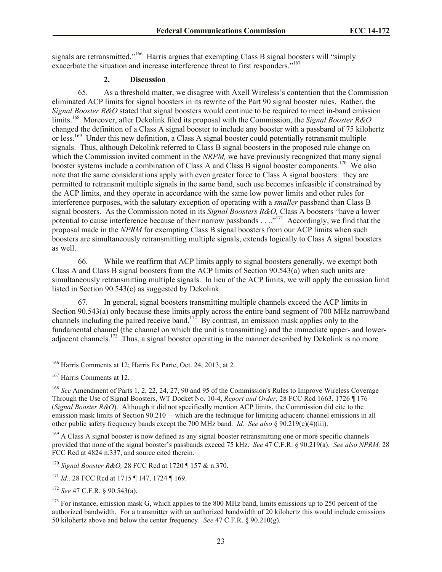signals are retransmitted."<sup>166</sup> Harris argues that exempting Class B signal boosters will "simply exacerbate the situation and increase interference threat to first responders."<sup>167</sup>

## **2. Discussion**

65. As a threshold matter, we disagree with Axell Wireless's contention that the Commission eliminated ACP limits for signal boosters in its rewrite of the Part 90 signal booster rules. Rather, the *Signal Booster R&O* stated that signal boosters would continue to be required to meet in-band emission limits.<sup>168</sup> Moreover, after Dekolink filed its proposal with the Commission, the *Signal Booster R&O* changed the definition of a Class A signal booster to include any booster with a passband of 75 kilohertz or less.<sup>169</sup> Under this new definition, a Class A signal booster could potentially retransmit multiple signals. Thus, although Dekolink referred to Class B signal boosters in the proposed rule change on which the Commission invited comment in the *NRPM*, we have previously recognized that many signal booster systems include a combination of Class A and Class B signal booster components.<sup>170</sup> We also note that the same considerations apply with even greater force to Class A signal boosters: they are permitted to retransmit multiple signals in the same band, such use becomes infeasible if constrained by the ACP limits, and they operate in accordance with the same low power limits and other rules for interference purposes, with the salutary exception of operating with a *smaller* passband than Class B signal boosters. As the Commission noted in its *Signal Boosters R&O,* Class A boosters "have a lower potential to cause interference because of their narrow passbands . . ..<sup>"171</sup> Accordingly, we find that the proposal made in the *NPRM* for exempting Class B signal boosters from our ACP limits when such boosters are simultaneously retransmitting multiple signals, extends logically to Class A signal boosters as well.

66. While we reaffirm that ACP limits apply to signal boosters generally, we exempt both Class A and Class B signal boosters from the ACP limits of Section 90.543(a) when such units are simultaneously retransmitting multiple signals. In lieu of the ACP limits, we will apply the emission limit listed in Section 90.543(c) as suggested by Dekolink.

67. In general, signal boosters transmitting multiple channels exceed the ACP limits in Section 90.543(a) only because these limits apply across the entire band segment of 700 MHz narrowband channels including the paired receive band.<sup>172</sup> By contrast, an emission mask applies only to the fundamental channel (the channel on which the unit is transmitting) and the immediate upper- and loweradjacent channels.<sup>173</sup> Thus, a signal booster operating in the manner described by Dekolink is no more

<sup>170</sup> *Signal Booster R&O,* 28 FCC Rcd at 1720 ¶ 157 & n.370.

l <sup>166</sup> Harris Comments at 12; Harris Ex Parte, Oct. 24, 2013, at 2.

<sup>167</sup> Harris Comments at 12.

<sup>168</sup> *See* Amendment of Parts 1, 2, 22, 24, 27, 90 and 95 of the Commission's Rules to Improve Wireless Coverage Through the Use of Signal Boosters, WT Docket No. 10-4, *Report and Order*, 28 FCC Rcd 1663, 1726 ¶ 176 (*Signal Booster R&O*). Although it did not specifically mention ACP limits, the Commission did cite to the emission mask limits of Section 90.210 —which are the technique for limiting adjacent-channel emissions in all other public safety frequency bands except the 700 MHz band. *Id. See also* § 90.219(e)(4)(iii).

<sup>&</sup>lt;sup>169</sup> A Class A signal booster is now defined as any signal booster retransmitting one or more specific channels provided that none of the signal booster's passbands exceed 75 kHz. *See* 47 C.F.R. § 90.219(a). *See also NPRM,* 28 FCC Rcd at 4824 n.337, and source cited therein.

<sup>171</sup> *Id.,* 28 FCC Rcd at 1715 ¶ 147, 1724 ¶ 169.

<sup>172</sup> *See* 47 C.F.R. § 90.543(a).

<sup>&</sup>lt;sup>173</sup> For instance, emission mask G, which applies to the 800 MHz band, limits emissions up to 250 percent of the authorized bandwidth. For a transmitter with an authorized bandwidth of 20 kilohertz this would include emissions 50 kilohertz above and below the center frequency. *See* 47 C.F.R. § 90.210(g).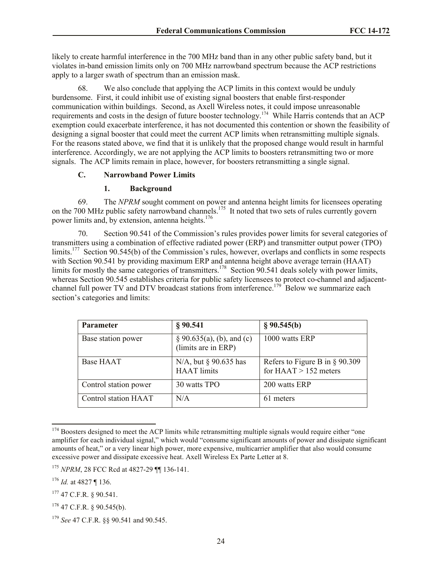likely to create harmful interference in the 700 MHz band than in any other public safety band, but it violates in-band emission limits only on 700 MHz narrowband spectrum because the ACP restrictions apply to a larger swath of spectrum than an emission mask.

68. We also conclude that applying the ACP limits in this context would be unduly burdensome. First, it could inhibit use of existing signal boosters that enable first-responder communication within buildings. Second, as Axell Wireless notes, it could impose unreasonable requirements and costs in the design of future booster technology.<sup>174</sup> While Harris contends that an ACP exemption could exacerbate interference, it has not documented this contention or shown the feasibility of designing a signal booster that could meet the current ACP limits when retransmitting multiple signals. For the reasons stated above, we find that it is unlikely that the proposed change would result in harmful interference. Accordingly, we are not applying the ACP limits to boosters retransmitting two or more signals. The ACP limits remain in place, however, for boosters retransmitting a single signal.

#### **C. Narrowband Power Limits**

#### **1. Background**

69. The *NPRM* sought comment on power and antenna height limits for licensees operating on the 700 MHz public safety narrowband channels.<sup>175</sup> It noted that two sets of rules currently govern power limits and, by extension, antenna heights.<sup>176</sup>

70. Section 90.541 of the Commission's rules provides power limits for several categories of transmitters using a combination of effective radiated power (ERP) and transmitter output power (TPO) limits.<sup>177</sup> Section 90.545(b) of the Commission's rules, however, overlaps and conflicts in some respects with Section 90.541 by providing maximum ERP and antenna height above average terrain (HAAT) limits for mostly the same categories of transmitters.<sup>178</sup> Section 90.541 deals solely with power limits, whereas Section 90.545 establishes criteria for public safety licensees to protect co-channel and adjacentchannel full power TV and DTV broadcast stations from interference.<sup>179</sup> Below we summarize each section's categories and limits:

| <b>Parameter</b>      | § 90.541                                             | § 90.545(b)                                                  |
|-----------------------|------------------------------------------------------|--------------------------------------------------------------|
| Base station power    | $\S 90.635(a)$ , (b), and (c)<br>(limits are in ERP) | 1000 watts ERP                                               |
| Base HAAT             | N/A, but $\S$ 90.635 has<br><b>HAAT</b> limits       | Refers to Figure B in $\S$ 90.309<br>for $HAAT > 152$ meters |
| Control station power | 30 watts TPO                                         | 200 watts ERP                                                |
| Control station HAAT  | N/A                                                  | 61 meters                                                    |

 $174$  Boosters designed to meet the ACP limits while retransmitting multiple signals would require either "one" amplifier for each individual signal," which would "consume significant amounts of power and dissipate significant amounts of heat," or a very linear high power, more expensive, multicarrier amplifier that also would consume excessive power and dissipate excessive heat. Axell Wireless Ex Parte Letter at 8.

 $\overline{\phantom{a}}$ 

<sup>175</sup> *NPRM*, 28 FCC Rcd at 4827-29 ¶¶ 136-141.

<sup>176</sup> *Id.* at 4827 ¶ 136.

 $177$  47 C.F.R. § 90.541.

 $178$  47 C.F.R. § 90.545(b).

<sup>179</sup> *See* 47 C.F.R. §§ 90.541 and 90.545.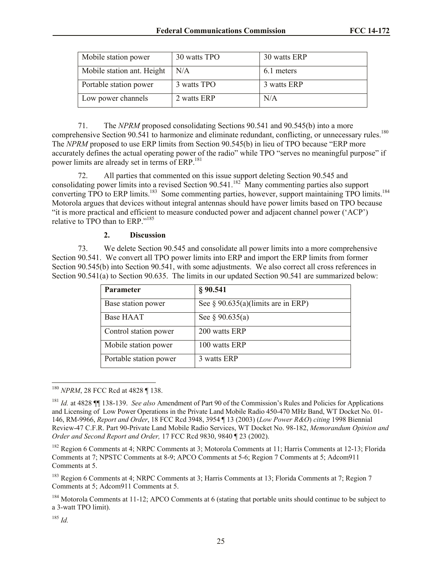| Mobile station power       | 30 watts TPO | 30 watts ERP |
|----------------------------|--------------|--------------|
| Mobile station ant. Height | N/A          | 6.1 meters   |
| Portable station power     | 3 watts TPO  | 3 watts ERP  |
| Low power channels         | 2 watts ERP  | N/A          |

71. The *NPRM* proposed consolidating Sections 90.541 and 90.545(b) into a more comprehensive Section 90.541 to harmonize and eliminate redundant, conflicting, or unnecessary rules.<sup>180</sup> The *NPRM* proposed to use ERP limits from Section 90.545(b) in lieu of TPO because "ERP more accurately defines the actual operating power of the radio" while TPO "serves no meaningful purpose" if power limits are already set in terms of ERP.<sup>181</sup>

72. All parties that commented on this issue support deleting Section 90.545 and consolidating power limits into a revised Section  $90.541$ .<sup>182</sup> Many commenting parties also support converting TPO to ERP limits.<sup>183</sup> Some commenting parties, however, support maintaining TPO limits.<sup>184</sup> Motorola argues that devices without integral antennas should have power limits based on TPO because "it is more practical and efficient to measure conducted power and adjacent channel power ('ACP') relative to TPO than to ERP."<sup>185</sup>

## **2. Discussion**

73. We delete Section 90.545 and consolidate all power limits into a more comprehensive Section 90.541. We convert all TPO power limits into ERP and import the ERP limits from former Section 90.545(b) into Section 90.541, with some adjustments. We also correct all cross references in Section 90.541(a) to Section 90.635. The limits in our updated Section 90.541 are summarized below:

| <b>Parameter</b>       | § 90.541                              |
|------------------------|---------------------------------------|
| Base station power     | See $\S$ 90.635(a)(limits are in ERP) |
| Base HAAT              | See $\S 90.635(a)$                    |
| Control station power  | 200 watts ERP                         |
| Mobile station power   | 100 watts ERP                         |
| Portable station power | 3 watts ERP                           |

l <sup>180</sup> *NPRM*, 28 FCC Rcd at 4828 ¶ 138.

<sup>181</sup> *Id.* at 4828 ¶¶ 138-139. *See also* Amendment of Part 90 of the Commission's Rules and Policies for Applications and Licensing of Low Power Operations in the Private Land Mobile Radio 450-470 MHz Band, WT Docket No. 01- 146, RM-9966, *Report and Order*, 18 FCC Rcd 3948, 3954 ¶ 13 (2003) (*Low Power R&O*) *citing* 1998 Biennial Review-47 C.F.R. Part 90-Private Land Mobile Radio Services, WT Docket No. 98-182, *Memorandum Opinion and Order and Second Report and Order,* 17 FCC Rcd 9830, 9840 ¶ 23 (2002).

<sup>&</sup>lt;sup>182</sup> Region 6 Comments at 4; NRPC Comments at 3; Motorola Comments at 11; Harris Comments at 12-13; Florida Comments at 7; NPSTC Comments at 8-9; APCO Comments at 5-6; Region 7 Comments at 5; Adcom911 Comments at 5.

<sup>183</sup> Region 6 Comments at 4; NRPC Comments at 3; Harris Comments at 13; Florida Comments at 7; Region 7 Comments at 5; Adcom911 Comments at 5.

 $184$  Motorola Comments at 11-12; APCO Comments at 6 (stating that portable units should continue to be subject to a 3-watt TPO limit).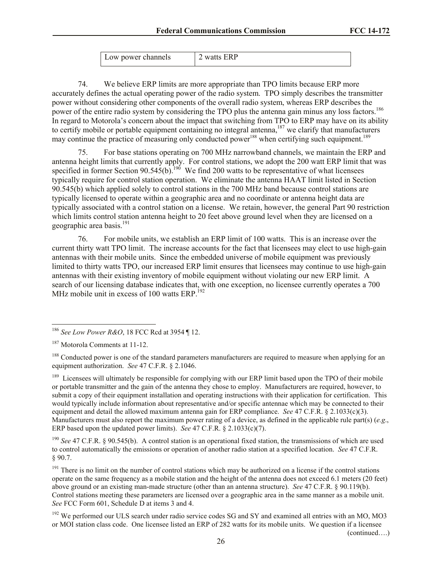| Low power channels | 12 watts ERP |
|--------------------|--------------|
|                    |              |

74. We believe ERP limits are more appropriate than TPO limits because ERP more accurately defines the actual operating power of the radio system. TPO simply describes the transmitter power without considering other components of the overall radio system, whereas ERP describes the power of the entire radio system by considering the TPO plus the antenna gain minus any loss factors.<sup>186</sup> In regard to Motorola's concern about the impact that switching from TPO to ERP may have on its ability to certify mobile or portable equipment containing no integral antenna,<sup>187</sup> we clarify that manufacturers may continue the practice of measuring only conducted power<sup>188</sup> when certifying such equipment.<sup>189</sup>

75. For base stations operating on 700 MHz narrowband channels, we maintain the ERP and antenna height limits that currently apply. For control stations, we adopt the 200 watt ERP limit that was specified in former Section  $90.545(b)$ .<sup>190</sup> We find 200 watts to be representative of what licensees typically require for control station operation. We eliminate the antenna HAAT limit listed in Section 90.545(b) which applied solely to control stations in the 700 MHz band because control stations are typically licensed to operate within a geographic area and no coordinate or antenna height data are typically associated with a control station on a license. We retain, however, the general Part 90 restriction which limits control station antenna height to 20 feet above ground level when they are licensed on a geographic area basis. 191

76. For mobile units, we establish an ERP limit of 100 watts. This is an increase over the current thirty watt TPO limit. The increase accounts for the fact that licensees may elect to use high-gain antennas with their mobile units. Since the embedded universe of mobile equipment was previously limited to thirty watts TPO, our increased ERP limit ensures that licensees may continue to use high-gain antennas with their existing inventory of mobile equipment without violating our new ERP limit. A search of our licensing database indicates that, with one exception, no licensee currently operates a 700 MHz mobile unit in excess of 100 watts ERP. $^{192}$ 

 $\overline{\phantom{a}}$ 

<sup>189</sup> Licensees will ultimately be responsible for complying with our ERP limit based upon the TPO of their mobile or portable transmitter and the gain of the antenna they chose to employ. Manufacturers are required, however, to submit a copy of their equipment installation and operating instructions with their application for certification. This would typically include information about representative and/or specific antennae which may be connected to their equipment and detail the allowed maximum antenna gain for ERP compliance. *See* 47 C.F.R. § 2.1033(c)(3). Manufacturers must also report the maximum power rating of a device, as defined in the applicable rule part(s) (*e.g*., ERP based upon the updated power limits). *See* 47 C.F.R. § 2.1033(c)(7).

<sup>190</sup> *See* 47 C.F.R. § 90.545(b). A control station is an operational fixed station, the transmissions of which are used to control automatically the emissions or operation of another radio station at a specified location. *See* 47 C.F.R. § 90.7.

<sup>191</sup> There is no limit on the number of control stations which may be authorized on a license if the control stations operate on the same frequency as a mobile station and the height of the antenna does not exceed 6.1 meters (20 feet) above ground or an existing man-made structure (other than an antenna structure). *See* 47 C.F.R. § 90.119(b). Control stations meeting these parameters are licensed over a geographic area in the same manner as a mobile unit. *See* FCC Form 601, Schedule D at items 3 and 4.

<sup>192</sup> We performed our ULS search under radio service codes SG and SY and examined all entries with an MO, MO3 or MOI station class code. One licensee listed an ERP of 282 watts for its mobile units. We question if a licensee

(continued….)

<sup>186</sup> *See Low Power R&O*, 18 FCC Rcd at 3954 ¶ 12.

<sup>187</sup> Motorola Comments at 11-12.

<sup>&</sup>lt;sup>188</sup> Conducted power is one of the standard parameters manufacturers are required to measure when applying for an equipment authorization. *See* 47 C.F.R. § 2.1046.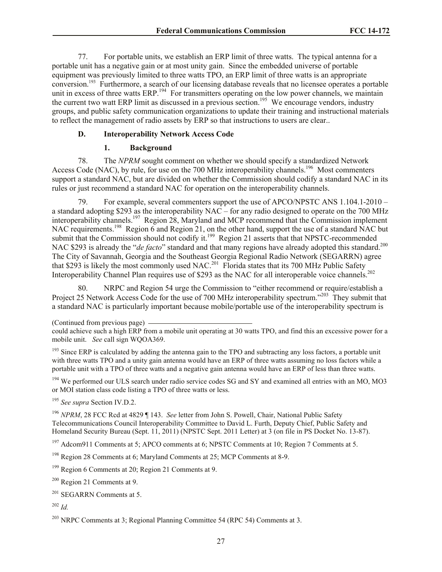77. For portable units, we establish an ERP limit of three watts. The typical antenna for a portable unit has a negative gain or at most unity gain. Since the embedded universe of portable equipment was previously limited to three watts TPO, an ERP limit of three watts is an appropriate conversion.<sup>193</sup> Furthermore, a search of our licensing database reveals that no licensee operates a portable unit in excess of three watts ERP.<sup>194</sup> For transmitters operating on the low power channels, we maintain the current two watt ERP limit as discussed in a previous section.<sup>195</sup> We encourage vendors, industry groups, and public safety communication organizations to update their training and instructional materials to reflect the management of radio assets by ERP so that instructions to users are clear..

## **D. Interoperability Network Access Code**

### **1. Background**

78. The *NPRM* sought comment on whether we should specify a standardized Network Access Code (NAC), by rule, for use on the 700 MHz interoperability channels.<sup>196</sup> Most commenters support a standard NAC, but are divided on whether the Commission should codify a standard NAC in its rules or just recommend a standard NAC for operation on the interoperability channels.

79. For example, several commenters support the use of APCO/NPSTC ANS 1.104.1-2010 – a standard adopting \$293 as the interoperability  $NAC$  – for any radio designed to operate on the 700 MHz interoperability channels.<sup>197</sup> Region 28, Maryland and MCP recommend that the Commission implement NAC requirements.<sup>198</sup> Region 6 and Region 21, on the other hand, support the use of a standard NAC but submit that the Commission should not codify it.<sup>199</sup> Region 21 asserts that that NPSTC-recommended NAC \$293 is already the "*de facto*" standard and that many regions have already adopted this standard.<sup>200</sup> The City of Savannah, Georgia and the Southeast Georgia Regional Radio Network (SEGARRN) agree that \$293 is likely the most commonly used NAC.<sup>201</sup> Florida states that its 700 MHz Public Safety Interoperability Channel Plan requires use of \$293 as the NAC for all interoperable voice channels.<sup>202</sup>

NRPC and Region 54 urge the Commission to "either recommend or require/establish a Project 25 Network Access Code for the use of 700 MHz interoperability spectrum."<sup>203</sup> They submit that a standard NAC is particularly important because mobile/portable use of the interoperability spectrum is

<sup>194</sup> We performed our ULS search under radio service codes SG and SY and examined all entries with an MO, MO3 or MOI station class code listing a TPO of three watts or less.

<sup>195</sup> *See supra* Section IV.D.2.

<sup>196</sup> *NPRM*, 28 FCC Rcd at 4829 ¶ 143. *See* letter from John S. Powell, Chair, National Public Safety Telecommunications Council Interoperability Committee to David L. Furth, Deputy Chief, Public Safety and Homeland Security Bureau (Sept. 11, 2011) (NPSTC Sept. 2011 Letter) at 3 (on file in PS Docket No. 13-87).

<sup>197</sup> Adcom911 Comments at 5; APCO comments at 6; NPSTC Comments at 10; Region 7 Comments at 5.

<sup>202</sup> *Id.*

<sup>(</sup>Continued from previous page)

could achieve such a high ERP from a mobile unit operating at 30 watts TPO, and find this an excessive power for a mobile unit. *See* call sign WQOA369.

<sup>&</sup>lt;sup>193</sup> Since ERP is calculated by adding the antenna gain to the TPO and subtracting any loss factors, a portable unit with three watts TPO and a unity gain antenna would have an ERP of three watts assuming no loss factors while a portable unit with a TPO of three watts and a negative gain antenna would have an ERP of less than three watts.

<sup>198</sup> Region 28 Comments at 6; Maryland Comments at 25; MCP Comments at 8-9.

<sup>199</sup> Region 6 Comments at 20; Region 21 Comments at 9.

<sup>200</sup> Region 21 Comments at 9.

<sup>&</sup>lt;sup>201</sup> SEGARRN Comments at 5.

<sup>&</sup>lt;sup>203</sup> NRPC Comments at 3; Regional Planning Committee 54 (RPC 54) Comments at 3.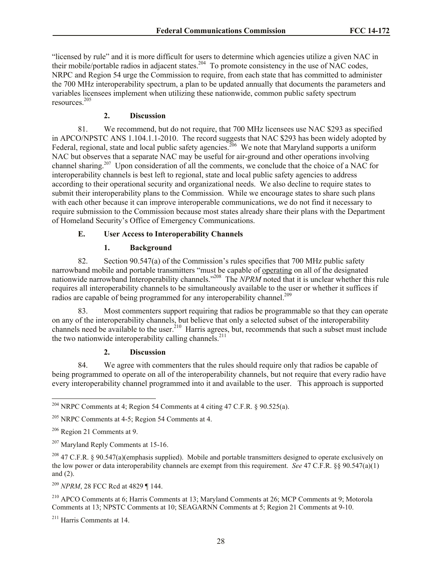"licensed by rule" and it is more difficult for users to determine which agencies utilize a given NAC in their mobile/portable radios in adjacent states.<sup>204</sup> To promote consistency in the use of NAC codes, NRPC and Region 54 urge the Commission to require, from each state that has committed to administer the 700 MHz interoperability spectrum, a plan to be updated annually that documents the parameters and variables licensees implement when utilizing these nationwide, common public safety spectrum resources.<sup>205</sup>

### **2. Discussion**

81. We recommend, but do not require, that 700 MHz licensees use NAC \$293 as specified in APCO/NPSTC ANS 1.104.1.1-2010. The record suggests that NAC \$293 has been widely adopted by Federal, regional, state and local public safety agencies.<sup>206</sup> We note that Maryland supports a uniform NAC but observes that a separate NAC may be useful for air-ground and other operations involving channel sharing.<sup>207</sup> Upon consideration of all the comments, we conclude that the choice of a NAC for interoperability channels is best left to regional, state and local public safety agencies to address according to their operational security and organizational needs. We also decline to require states to submit their interoperability plans to the Commission. While we encourage states to share such plans with each other because it can improve interoperable communications, we do not find it necessary to require submission to the Commission because most states already share their plans with the Department of Homeland Security's Office of Emergency Communications.

#### **E. User Access to Interoperability Channels**

#### **1. Background**

82. Section 90.547(a) of the Commission's rules specifies that 700 MHz public safety narrowband mobile and portable transmitters "must be capable of operating on all of the designated nationwide narrowband Interoperability channels."<sup>208</sup> The *NPRM* noted that it is unclear whether this rule requires all interoperability channels to be simultaneously available to the user or whether it suffices if radios are capable of being programmed for any interoperability channel.<sup>209</sup>

83. Most commenters support requiring that radios be programmable so that they can operate on any of the interoperability channels, but believe that only a selected subset of the interoperability channels need be available to the user.<sup>210</sup> Harris agrees, but, recommends that such a subset must include the two nationwide interoperability calling channels.<sup>211</sup>

#### **2. Discussion**

84. We agree with commenters that the rules should require only that radios be capable of being programmed to operate on all of the interoperability channels, but not require that every radio have every interoperability channel programmed into it and available to the user. This approach is supported

l

<sup>209</sup> *NPRM*, 28 FCC Rcd at 4829 ¶ 144.

<sup>211</sup> Harris Comments at 14.

<sup>&</sup>lt;sup>204</sup> NRPC Comments at 4; Region 54 Comments at 4 citing 47 C.F.R. § 90.525(a).

 $205$  NRPC Comments at 4-5; Region 54 Comments at 4.

<sup>206</sup> Region 21 Comments at 9.

<sup>&</sup>lt;sup>207</sup> Maryland Reply Comments at 15-16.

<sup>&</sup>lt;sup>208</sup> 47 C.F.R. § 90.547(a)(emphasis supplied). Mobile and portable transmitters designed to operate exclusively on the low power or data interoperability channels are exempt from this requirement. *See* 47 C.F.R. §§ 90.547(a)(1) and (2).

<sup>210</sup> APCO Comments at 6; Harris Comments at 13; Maryland Comments at 26; MCP Comments at 9; Motorola Comments at 13; NPSTC Comments at 10; SEAGARNN Comments at 5; Region 21 Comments at 9-10.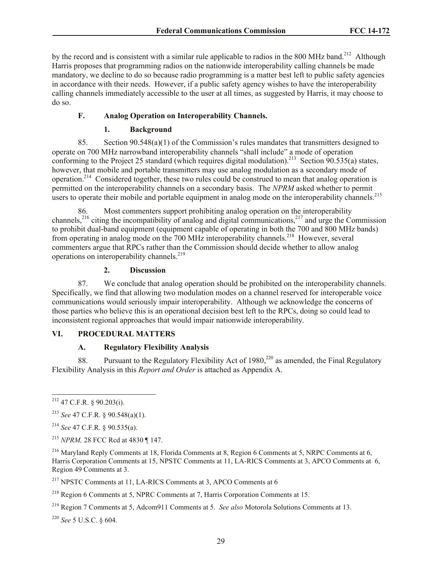by the record and is consistent with a similar rule applicable to radios in the 800 MHz band.<sup>212</sup> Although Harris proposes that programming radios on the nationwide interoperability calling channels be made mandatory, we decline to do so because radio programming is a matter best left to public safety agencies in accordance with their needs. However, if a public safety agency wishes to have the interoperability calling channels immediately accessible to the user at all times, as suggested by Harris, it may choose to do so.

### **F. Analog Operation on Interoperability Channels.**

#### **1. Background**

85. Section  $90.548(a)(1)$  of the Commission's rules mandates that transmitters designed to operate on 700 MHz narrowband interoperability channels "shall include" a mode of operation conforming to the Project 25 standard (which requires digital modulation).<sup>213</sup> Section  $90.535(a)$  states, however, that mobile and portable transmitters may use analog modulation as a secondary mode of operation.<sup>214</sup> Considered together, these two rules could be construed to mean that analog operation is permitted on the interoperability channels on a secondary basis. The *NPRM* asked whether to permit users to operate their mobile and portable equipment in analog mode on the interoperability channels.<sup>215</sup>

86. Most commenters support prohibiting analog operation on the interoperability channels,<sup>216</sup> citing the incompatibility of analog and digital communications,<sup>217</sup> and urge the Commission to prohibit dual-band equipment (equipment capable of operating in both the 700 and 800 MHz bands) from operating in analog mode on the 700 MHz interoperability channels.<sup>218</sup> However, several commenters argue that RPCs rather than the Commission should decide whether to allow analog operations on interoperability channels.<sup>219</sup>

## **2. Discussion**

87. We conclude that analog operation should be prohibited on the interoperability channels. Specifically, we find that allowing two modulation modes on a channel reserved for interoperable voice communications would seriously impair interoperability. Although we acknowledge the concerns of those parties who believe this is an operational decision best left to the RPCs, doing so could lead to inconsistent regional approaches that would impair nationwide interoperability.

## **VI. PROCEDURAL MATTERS**

### **A. Regulatory Flexibility Analysis**

88. Pursuant to the Regulatory Flexibility Act of 1980,<sup>220</sup> as amended, the Final Regulatory Flexibility Analysis in this *Report and Order* is attached as Appendix A.

l

<sup>220</sup> *See* 5 U.S.C. § 604.

 $^{212}$  47 C.F.R. § 90.203(i).

<sup>213</sup> *See* 47 C.F.R. § 90.548(a)(1).

<sup>214</sup> *See* 47 C.F.R. § 90.535(a).

<sup>215</sup> *NPRM,* 28 FCC Rcd at 4830 ¶ 147.

<sup>216</sup> Maryland Reply Comments at 18, Florida Comments at 8, Region 6 Comments at 5, NRPC Comments at 6, Harris Corporation Comments at 15, NPSTC Comments at 11, LA-RICS Comments at 3, APCO Comments at 6, Region 49 Comments at 3.

<sup>217</sup> NPSTC Comments at 11, LA-RICS Comments at 3, APCO Comments at 6

 $218$  Region 6 Comments at 5, NPRC Comments at 7, Harris Corporation Comments at 15.

<sup>219</sup> Region 7 Comments at 5, Adcom911 Comments at 5. *See also* Motorola Solutions Comments at 13.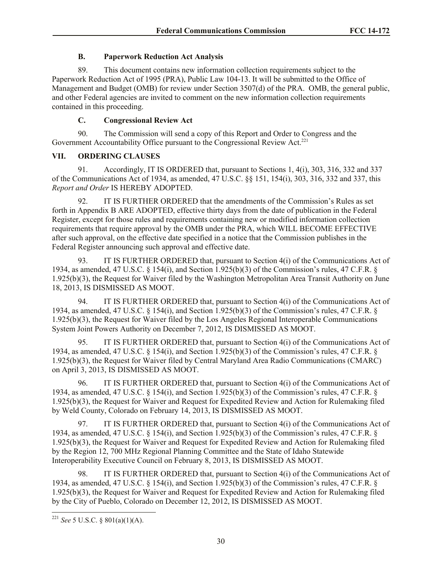## **B. Paperwork Reduction Act Analysis**

89. This document contains new information collection requirements subject to the Paperwork Reduction Act of 1995 (PRA), Public Law 104-13. It will be submitted to the Office of Management and Budget (OMB) for review under Section 3507(d) of the PRA. OMB, the general public, and other Federal agencies are invited to comment on the new information collection requirements contained in this proceeding.

## **C. Congressional Review Act**

90. The Commission will send a copy of this Report and Order to Congress and the Government Accountability Office pursuant to the Congressional Review Act.<sup>221</sup>

## **VII. ORDERING CLAUSES**

91. Accordingly, IT IS ORDERED that, pursuant to Sections 1, 4(i), 303, 316, 332 and 337 of the Communications Act of 1934, as amended, 47 U.S.C. §§ 151, 154(i), 303, 316, 332 and 337, this *Report and Order* IS HEREBY ADOPTED.

92. IT IS FURTHER ORDERED that the amendments of the Commission's Rules as set forth in Appendix B ARE ADOPTED, effective thirty days from the date of publication in the Federal Register, except for those rules and requirements containing new or modified information collection requirements that require approval by the OMB under the PRA, which WILL BECOME EFFECTIVE after such approval, on the effective date specified in a notice that the Commission publishes in the Federal Register announcing such approval and effective date.

93. IT IS FURTHER ORDERED that, pursuant to Section 4(i) of the Communications Act of 1934, as amended, 47 U.S.C. § 154(i), and Section 1.925(b)(3) of the Commission's rules, 47 C.F.R. § 1.925(b)(3), the Request for Waiver filed by the Washington Metropolitan Area Transit Authority on June 18, 2013, IS DISMISSED AS MOOT.

94. IT IS FURTHER ORDERED that, pursuant to Section 4(i) of the Communications Act of 1934, as amended, 47 U.S.C. § 154(i), and Section 1.925(b)(3) of the Commission's rules, 47 C.F.R. § 1.925(b)(3), the Request for Waiver filed by the Los Angeles Regional Interoperable Communications System Joint Powers Authority on December 7, 2012, IS DISMISSED AS MOOT.

95. IT IS FURTHER ORDERED that, pursuant to Section 4(i) of the Communications Act of 1934, as amended, 47 U.S.C. § 154(i), and Section 1.925(b)(3) of the Commission's rules, 47 C.F.R. § 1.925(b)(3), the Request for Waiver filed by Central Maryland Area Radio Communications (CMARC) on April 3, 2013, IS DISMISSED AS MOOT.

96. IT IS FURTHER ORDERED that, pursuant to Section 4(i) of the Communications Act of 1934, as amended, 47 U.S.C. § 154(i), and Section 1.925(b)(3) of the Commission's rules, 47 C.F.R. § 1.925(b)(3), the Request for Waiver and Request for Expedited Review and Action for Rulemaking filed by Weld County, Colorado on February 14, 2013, IS DISMISSED AS MOOT.

97. IT IS FURTHER ORDERED that, pursuant to Section 4(i) of the Communications Act of 1934, as amended, 47 U.S.C. § 154(i), and Section 1.925(b)(3) of the Commission's rules, 47 C.F.R. § 1.925(b)(3), the Request for Waiver and Request for Expedited Review and Action for Rulemaking filed by the Region 12, 700 MHz Regional Planning Committee and the State of Idaho Statewide Interoperability Executive Council on February 8, 2013, IS DISMISSED AS MOOT.

98. IT IS FURTHER ORDERED that, pursuant to Section 4(i) of the Communications Act of 1934, as amended, 47 U.S.C. § 154(i), and Section 1.925(b)(3) of the Commission's rules, 47 C.F.R. § 1.925(b)(3), the Request for Waiver and Request for Expedited Review and Action for Rulemaking filed by the City of Pueblo, Colorado on December 12, 2012, IS DISMISSED AS MOOT.

l

<sup>221</sup> *See* 5 U.S.C. § 801(a)(1)(A).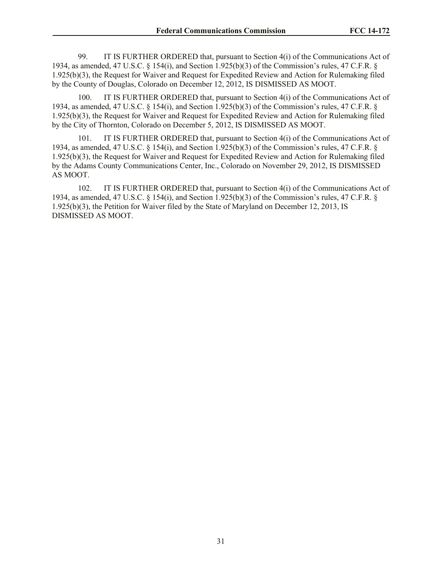99. IT IS FURTHER ORDERED that, pursuant to Section 4(i) of the Communications Act of 1934, as amended, 47 U.S.C. § 154(i), and Section 1.925(b)(3) of the Commission's rules, 47 C.F.R. § 1.925(b)(3), the Request for Waiver and Request for Expedited Review and Action for Rulemaking filed by the County of Douglas, Colorado on December 12, 2012, IS DISMISSED AS MOOT.

100. IT IS FURTHER ORDERED that, pursuant to Section 4(i) of the Communications Act of 1934, as amended, 47 U.S.C. § 154(i), and Section 1.925(b)(3) of the Commission's rules, 47 C.F.R. § 1.925(b)(3), the Request for Waiver and Request for Expedited Review and Action for Rulemaking filed by the City of Thornton, Colorado on December 5, 2012, IS DISMISSED AS MOOT.

101. IT IS FURTHER ORDERED that, pursuant to Section 4(i) of the Communications Act of 1934, as amended, 47 U.S.C. § 154(i), and Section 1.925(b)(3) of the Commission's rules, 47 C.F.R. § 1.925(b)(3), the Request for Waiver and Request for Expedited Review and Action for Rulemaking filed by the Adams County Communications Center, Inc., Colorado on November 29, 2012, IS DISMISSED AS MOOT.

102. IT IS FURTHER ORDERED that, pursuant to Section 4(i) of the Communications Act of 1934, as amended, 47 U.S.C. § 154(i), and Section 1.925(b)(3) of the Commission's rules, 47 C.F.R. § 1.925(b)(3), the Petition for Waiver filed by the State of Maryland on December 12, 2013, IS DISMISSED AS MOOT.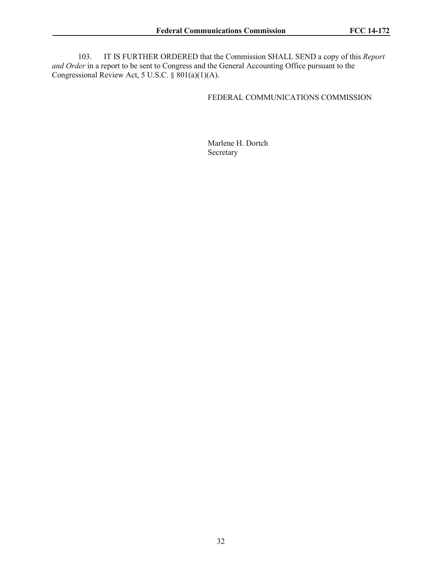103. IT IS FURTHER ORDERED that the Commission SHALL SEND a copy of this *Report and Order* in a report to be sent to Congress and the General Accounting Office pursuant to the Congressional Review Act, 5 U.S.C.  $\S 801(a)(1)(A)$ .

## FEDERAL COMMUNICATIONS COMMISSION

Marlene H. Dortch Secretary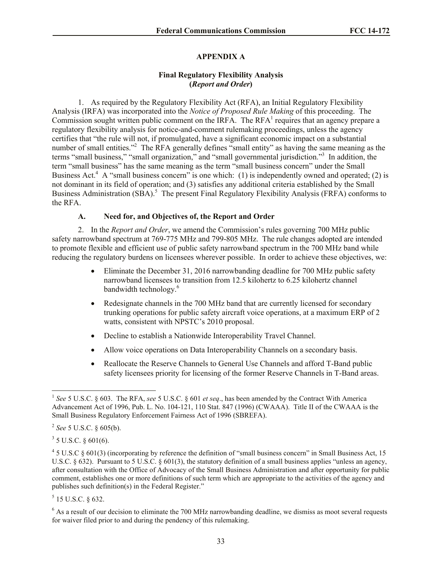## **APPENDIX A**

### **Final Regulatory Flexibility Analysis (***Report and Order***)**

1. As required by the Regulatory Flexibility Act (RFA), an Initial Regulatory Flexibility Analysis (IRFA) was incorporated into the *Notice of Proposed Rule Making* of this proceeding. The Commission sought written public comment on the IRFA. The RFA $<sup>1</sup>$  requires that an agency prepare a</sup> regulatory flexibility analysis for notice-and-comment rulemaking proceedings, unless the agency certifies that "the rule will not, if promulgated, have a significant economic impact on a substantial number of small entities."<sup>2</sup> The RFA generally defines "small entity" as having the same meaning as the terms "small business," "small organization," and "small governmental jurisdiction."<sup>3</sup> In addition, the term "small business" has the same meaning as the term "small business concern" under the Small Business Act.<sup>4</sup> A "small business concern" is one which: (1) is independently owned and operated; (2) is not dominant in its field of operation; and (3) satisfies any additional criteria established by the Small Business Administration (SBA).<sup>5</sup> The present Final Regulatory Flexibility Analysis (FRFA) conforms to the RFA.

#### **A. Need for, and Objectives of, the Report and Order**

2. In the *Report and Order*, we amend the Commission's rules governing 700 MHz public safety narrowband spectrum at 769-775 MHz and 799-805 MHz. The rule changes adopted are intended to promote flexible and efficient use of public safety narrowband spectrum in the 700 MHz band while reducing the regulatory burdens on licensees wherever possible. In order to achieve these objectives, we:

- Eliminate the December 31, 2016 narrowbanding deadline for 700 MHz public safety narrowband licensees to transition from 12.5 kilohertz to 6.25 kilohertz channel bandwidth technology.<sup>6</sup>
- Redesignate channels in the 700 MHz band that are currently licensed for secondary trunking operations for public safety aircraft voice operations, at a maximum ERP of 2 watts, consistent with NPSTC's 2010 proposal.
- Decline to establish a Nationwide Interoperability Travel Channel.
- Allow voice operations on Data Interoperability Channels on a secondary basis.
- Reallocate the Reserve Channels to General Use Channels and afford T-Band public safety licensees priority for licensing of the former Reserve Channels in T-Band areas.

 $3^3$  5 U.S.C. § 601(6).

 $5$  15 U.S.C. § 632.

 1 *See* 5 U.S.C. § 603. The RFA, *see* 5 U.S.C. § 601 *et seq*., has been amended by the Contract With America Advancement Act of 1996, Pub. L. No. 104-121, 110 Stat. 847 (1996) (CWAAA). Title II of the CWAAA is the Small Business Regulatory Enforcement Fairness Act of 1996 (SBREFA).

<sup>2</sup> *See* 5 U.S.C. § 605(b).

<sup>&</sup>lt;sup>4</sup> 5 U.S.C § 601(3) (incorporating by reference the definition of "small business concern" in Small Business Act, 15 U.S.C.  $\S 632$ ). Pursuant to 5 U.S.C.  $\S 601(3)$ , the statutory definition of a small business applies "unless an agency, after consultation with the Office of Advocacy of the Small Business Administration and after opportunity for public comment, establishes one or more definitions of such term which are appropriate to the activities of the agency and publishes such definition(s) in the Federal Register."

<sup>&</sup>lt;sup>6</sup> As a result of our decision to eliminate the 700 MHz narrowbanding deadline, we dismiss as moot several requests for waiver filed prior to and during the pendency of this rulemaking.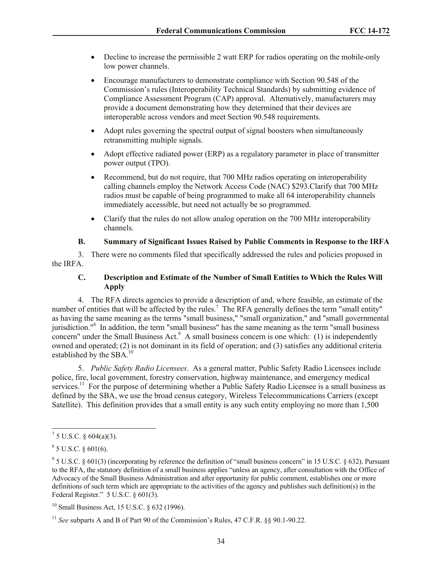- Decline to increase the permissible 2 watt ERP for radios operating on the mobile-only low power channels.
- Encourage manufacturers to demonstrate compliance with Section 90.548 of the Commission's rules (Interoperability Technical Standards) by submitting evidence of Compliance Assessment Program (CAP) approval. Alternatively, manufacturers may provide a document demonstrating how they determined that their devices are interoperable across vendors and meet Section 90.548 requirements.
- Adopt rules governing the spectral output of signal boosters when simultaneously retransmitting multiple signals.
- Adopt effective radiated power (ERP) as a regulatory parameter in place of transmitter power output (TPO).
- Recommend, but do not require, that 700 MHz radios operating on interoperability calling channels employ the Network Access Code (NAC) \$293.Clarify that 700 MHz radios must be capable of being programmed to make all 64 interoperability channels immediately accessible, but need not actually be so programmed.
- Clarify that the rules do not allow analog operation on the 700 MHz interoperability channels.

### **B. Summary of Significant Issues Raised by Public Comments in Response to the IRFA**

3. There were no comments filed that specifically addressed the rules and policies proposed in the IRFA.

## **C. Description and Estimate of the Number of Small Entities to Which the Rules Will Apply**

4. The RFA directs agencies to provide a description of and, where feasible, an estimate of the number of entities that will be affected by the rules.<sup>7</sup> The RFA generally defines the term "small entity" as having the same meaning as the terms "small business," "small organization," and "small governmental jurisdiction."<sup>8</sup> In addition, the term "small business" has the same meaning as the term "small business concern" under the Small Business Act. $9$  A small business concern is one which: (1) is independently owned and operated; (2) is not dominant in its field of operation; and (3) satisfies any additional criteria established by the SBA.<sup>10</sup>

5. *Public Safety Radio Licensees*. As a general matter, Public Safety Radio Licensees include police, fire, local government, forestry conservation, highway maintenance, and emergency medical services.<sup>11</sup> For the purpose of determining whether a Public Safety Radio Licensee is a small business as defined by the SBA, we use the broad census category, Wireless Telecommunications Carriers (except Satellite). This definition provides that a small entity is any such entity employing no more than 1,500

 $\overline{\phantom{a}}$ 

 $^7$  5 U.S.C. § 604(a)(3).

 $8$  5 U.S.C. § 601(6).

 $9^9$  5 U.S.C. § 601(3) (incorporating by reference the definition of "small business concern" in 15 U.S.C. § 632). Pursuant to the RFA, the statutory definition of a small business applies "unless an agency, after consultation with the Office of Advocacy of the Small Business Administration and after opportunity for public comment, establishes one or more definitions of such term which are appropriate to the activities of the agency and publishes such definition(s) in the Federal Register." 5 U.S.C. § 601(3).

<sup>&</sup>lt;sup>10</sup> Small Business Act, 15 U.S.C. § 632 (1996).

<sup>11</sup> *See* subparts A and B of Part 90 of the Commission's Rules, 47 C.F.R. §§ 90.1-90.22.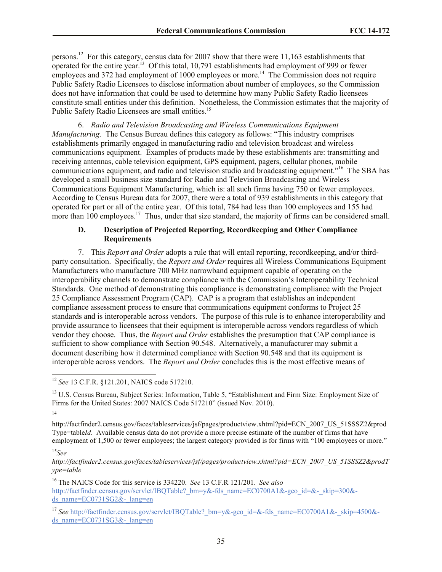persons.<sup>12</sup> For this category, census data for 2007 show that there were 11,163 establishments that operated for the entire year.<sup>13</sup> Of this total, 10,791 establishments had employment of 999 or fewer employees and 372 had employment of 1000 employees or more.<sup>14</sup> The Commission does not require Public Safety Radio Licensees to disclose information about number of employees, so the Commission does not have information that could be used to determine how many Public Safety Radio licensees constitute small entities under this definition. Nonetheless, the Commission estimates that the majority of Public Safety Radio Licensees are small entities.<sup>15</sup>

6. *Radio and Television Broadcasting and Wireless Communications Equipment Manufacturing.* The Census Bureau defines this category as follows: "This industry comprises establishments primarily engaged in manufacturing radio and television broadcast and wireless communications equipment. Examples of products made by these establishments are: transmitting and receiving antennas, cable television equipment, GPS equipment, pagers, cellular phones, mobile communications equipment, and radio and television studio and broadcasting equipment."<sup>16</sup> The SBA has developed a small business size standard for Radio and Television Broadcasting and Wireless Communications Equipment Manufacturing, which is: all such firms having 750 or fewer employees. According to Census Bureau data for 2007, there were a total of 939 establishments in this category that operated for part or all of the entire year. Of this total, 784 had less than 100 employees and 155 had more than  $100$  employees.<sup>17</sup> Thus, under that size standard, the majority of firms can be considered small.

## **D. Description of Projected Reporting, Recordkeeping and Other Compliance Requirements**

7. This *Report and Order* adopts a rule that will entail reporting, recordkeeping, and/or thirdparty consultation. Specifically, the *Report and Order* requires all Wireless Communications Equipment Manufacturers who manufacture 700 MHz narrowband equipment capable of operating on the interoperability channels to demonstrate compliance with the Commission's Interoperability Technical Standards. One method of demonstrating this compliance is demonstrating compliance with the Project 25 Compliance Assessment Program (CAP). CAP is a program that establishes an independent compliance assessment process to ensure that communications equipment conforms to Project 25 standards and is interoperable across vendors. The purpose of this rule is to enhance interoperability and provide assurance to licensees that their equipment is interoperable across vendors regardless of which vendor they choose. Thus, the *Report and Order* establishes the presumption that CAP compliance is sufficient to show compliance with Section 90.548. Alternatively, a manufacturer may submit a document describing how it determined compliance with Section 90.548 and that its equipment is interoperable across vendors. The *Report and Order* concludes this is the most effective means of

14

l

http://factfinder2.census.gov/faces/tableservices/jsf/pages/productview.xhtml?pid=ECN\_2007\_US\_51SSSZ2&prod Type=table*Id*. Available census data do not provide a more precise estimate of the number of firms that have employment of 1,500 or fewer employees; the largest category provided is for firms with "100 employees or more."

*http://factfinder2.census.gov/faces/tableservices/jsf/pages/productview.xhtml?pid=ECN\_2007\_US\_51SSSZ2&prodT ype=table*

<sup>16</sup> The NAICS Code for this service is 334220. *See* 13 C.F.R 121/201. *See also* http://factfinder.census.gov/servlet/IBQTable? bm=y&-fds\_name=EC0700A1&-geo\_id=&-\_skip=300&ds\_name=EC0731SG2 $\&$ - lang=en

<sup>12</sup> *See* 13 C.F.R. §121.201, NAICS code 517210.

<sup>&</sup>lt;sup>13</sup> U.S. Census Bureau, Subject Series: Information, Table 5, "Establishment and Firm Size: Employment Size of Firms for the United States: 2007 NAICS Code 517210" (issued Nov. 2010).

<sup>15</sup>*See* 

<sup>&</sup>lt;sup>17</sup> See http://factfinder.census.gov/servlet/IBQTable? bm=y&-geo\_id=&-fds\_name=EC0700A1&-\_skip=4500&ds\_name= $EC0731SG3&-$ lang=en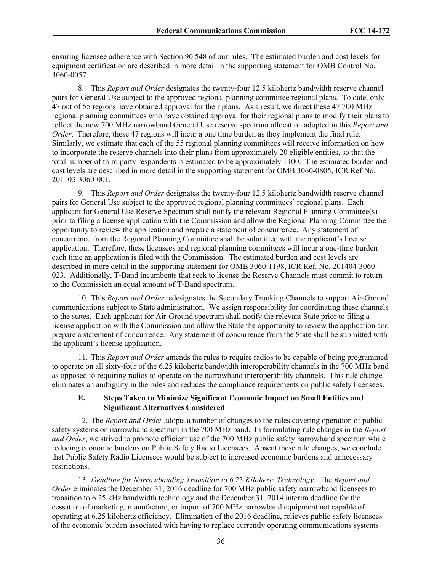ensuring licensee adherence with Section 90.548 of our rules. The estimated burden and cost levels for equipment certification are described in more detail in the supporting statement for OMB Control No. 3060-0057.

8. This *Report and Order* designates the twenty-four 12.5 kilohertz bandwidth reserve channel pairs for General Use subject to the approved regional planning committee regional plans. To date, only 47 out of 55 regions have obtained approval for their plans. As a result, we direct these 47 700 MHz regional planning committees who have obtained approval for their regional plans to modify their plans to reflect the new 700 MHz narrowband General Use reserve spectrum allocation adopted in this *Report and Order*. Therefore, these 47 regions will incur a one time burden as they implement the final rule. Similarly, we estimate that each of the 55 regional planning committees will receive information on how to incorporate the reserve channels into their plans from approximately 20 eligible entities, so that the total number of third party respondents is estimated to be approximately 1100. The estimated burden and cost levels are described in more detail in the supporting statement for OMB 3060-0805, ICR Ref No. 201103-3060-001.

9. This *Report and Order* designates the twenty-four 12.5 kilohertz bandwidth reserve channel pairs for General Use subject to the approved regional planning committees' regional plans. Each applicant for General Use Reserve Spectrum shall notify the relevant Regional Planning Committee(s) prior to filing a license application with the Commission and allow the Regional Planning Committee the opportunity to review the application and prepare a statement of concurrence. Any statement of concurrence from the Regional Planning Committee shall be submitted with the applicant's license application. Therefore, these licensees and regional planning committees will incur a one-time burden each time an application is filed with the Commission. The estimated burden and cost levels are described in more detail in the supporting statement for OMB 3060-1198, ICR Ref. No. 201404-3060- 023. Additionally, T-Band incumbents that seek to license the Reserve Channels must commit to return to the Commission an equal amount of T-Band spectrum.

10. This *Report and Order* redesignates the Secondary Trunking Channels to support Air-Ground communications subject to State administration. We assign responsibility for coordinating these channels to the states. Each applicant for Air-Ground spectrum shall notify the relevant State prior to filing a license application with the Commission and allow the State the opportunity to review the application and prepare a statement of concurrence. Any statement of concurrence from the State shall be submitted with the applicant's license application.

11. This *Report and Order* amends the rules to require radios to be capable of being programmed to operate on all sixty-four of the 6.25 kilohertz bandwidth interoperability channels in the 700 MHz band as opposed to requiring radios to operate on the narrowband interoperability channels. This rule change eliminates an ambiguity in the rules and reduces the compliance requirements on public safety licensees.

### **E. Steps Taken to Minimize Significant Economic Impact on Small Entities and Significant Alternatives Considered**

12. The *Report and Order* adopts a number of changes to the rules covering operation of public safety systems on narrowband spectrum in the 700 MHz band. In formulating rule changes in the *Report and Order*, we strived to promote efficient use of the 700 MHz public safety narrowband spectrum while reducing economic burdens on Public Safety Radio Licensees. Absent these rule changes, we conclude that Public Safety Radio Licensees would be subject to increased economic burdens and unnecessary restrictions.

13. *Deadline for Narrowbanding Transition to 6.*25 *Kilohertz Technology*. The *Report and Order* eliminates the December 31, 2016 deadline for 700 MHz public safety narrowband licensees to transition to 6.25 kHz bandwidth technology and the December 31, 2014 interim deadline for the cessation of marketing, manufacture, or import of 700 MHz narrowband equipment not capable of operating at 6.25 kilohertz efficiency. Elimination of the 2016 deadline, relieves public safety licensees of the economic burden associated with having to replace currently operating communications systems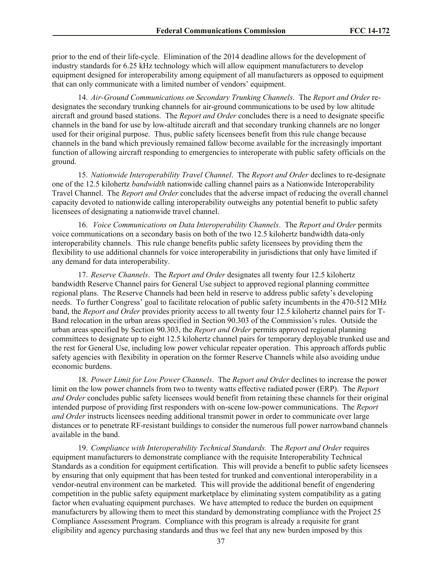prior to the end of their life-cycle. Elimination of the 2014 deadline allows for the development of industry standards for 6.25 kHz technology which will allow equipment manufacturers to develop equipment designed for interoperability among equipment of all manufacturers as opposed to equipment that can only communicate with a limited number of vendors' equipment.

14. *Air-Ground Communications on Secondary Trunking Channels*. The *Report and Order* redesignates the secondary trunking channels for air-ground communications to be used by low altitude aircraft and ground based stations. The *Report and Order* concludes there is a need to designate specific channels in the band for use by low-altitude aircraft and that secondary trunking channels are no longer used for their original purpose. Thus, public safety licensees benefit from this rule change because channels in the band which previously remained fallow become available for the increasingly important function of allowing aircraft responding to emergencies to interoperate with public safety officials on the ground.

15. *Nationwide Interoperability Travel Channel*. The *Report and Order* declines to re-designate one of the 12.5 kilohertz *bandwidth* nationwide calling channel pairs as a Nationwide Interoperability Travel Channel. The *Report and Order* concludes that the adverse impact of reducing the overall channel capacity devoted to nationwide calling interoperability outweighs any potential benefit to public safety licensees of designating a nationwide travel channel.

16. *Voice Communications on Data Interoperability Channels*. The *Report and Order* permits voice communications on a secondary basis on both of the two 12.5 kilohertz bandwidth data-only interoperability channels. This rule change benefits public safety licensees by providing them the flexibility to use additional channels for voice interoperability in jurisdictions that only have limited if any demand for data interoperability.

17. *Reserve Channels*. The *Report and Order* designates all twenty four 12.5 kilohertz bandwidth Reserve Channel pairs for General Use subject to approved regional planning committee regional plans. The Reserve Channels had been held in reserve to address public safety's developing needs. To further Congress' goal to facilitate relocation of public safety incumbents in the 470-512 MHz band, the *Report and Order* provides priority access to all twenty four 12.5 kilohertz channel pairs for T-Band relocation in the urban areas specified in Section 90.303 of the Commission's rules. Outside the urban areas specified by Section 90.303, the *Report and Order* permits approved regional planning committees to designate up to eight 12.5 kilohertz channel pairs for temporary deployable trunked use and the rest for General Use, including low power vehicular repeater operation. This approach affords public safety agencies with flexibility in operation on the former Reserve Channels while also avoiding undue economic burdens.

18. *Power Limit for Low Power Channels*. The *Report and Order* declines to increase the power limit on the low power channels from two to twenty watts effective radiated power (ERP). The *Report and Order* concludes public safety licensees would benefit from retaining these channels for their original intended purpose of providing first responders with on-scene low-power communications. The *Report and Order* instructs licensees needing additional transmit power in order to communicate over large distances or to penetrate RF-resistant buildings to consider the numerous full power narrowband channels available in the band.

19. *Compliance with Interoperability Technical Standards.* The *Report and Order* requires equipment manufacturers to demonstrate compliance with the requisite Interoperability Technical Standards as a condition for equipment certification. This will provide a benefit to public safety licensees by ensuring that only equipment that has been tested for trunked and conventional interoperability in a vendor-neutral environment can be marketed. This will provide the additional benefit of engendering competition in the public safety equipment marketplace by eliminating system compatibility as a gating factor when evaluating equipment purchases. We have attempted to reduce the burden on equipment manufacturers by allowing them to meet this standard by demonstrating compliance with the Project 25 Compliance Assessment Program. Compliance with this program is already a requisite for grant eligibility and agency purchasing standards and thus we feel that any new burden imposed by this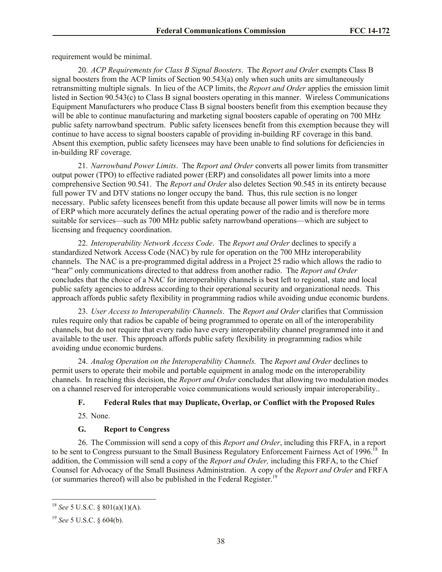requirement would be minimal.

20. *ACP Requirements for Class B Signal Boosters*. The *Report and Order* exempts Class B signal boosters from the ACP limits of Section 90.543(a) only when such units are simultaneously retransmitting multiple signals. In lieu of the ACP limits, the *Report and Order* applies the emission limit listed in Section 90.543(c) to Class B signal boosters operating in this manner. Wireless Communications Equipment Manufacturers who produce Class B signal boosters benefit from this exemption because they will be able to continue manufacturing and marketing signal boosters capable of operating on 700 MHz public safety narrowband spectrum. Public safety licensees benefit from this exemption because they will continue to have access to signal boosters capable of providing in-building RF coverage in this band. Absent this exemption, public safety licensees may have been unable to find solutions for deficiencies in in-building RF coverage.

21. *Narrowband Power Limits*. The *Report and Order* converts all power limits from transmitter output power (TPO) to effective radiated power (ERP) and consolidates all power limits into a more comprehensive Section 90.541. The *Report and Order* also deletes Section 90.545 in its entirety because full power TV and DTV stations no longer occupy the band. Thus, this rule section is no longer necessary. Public safety licensees benefit from this update because all power limits will now be in terms of ERP which more accurately defines the actual operating power of the radio and is therefore more suitable for services—such as 700 MHz public safety narrowband operations—which are subject to licensing and frequency coordination.

22. *Interoperability Network Access Code*. The *Report and Order* declines to specify a standardized Network Access Code (NAC) by rule for operation on the 700 MHz interoperability channels. The NAC is a pre-programmed digital address in a Project 25 radio which allows the radio to "hear" only communications directed to that address from another radio. The *Report and Order* concludes that the choice of a NAC for interoperability channels is best left to regional, state and local public safety agencies to address according to their operational security and organizational needs. This approach affords public safety flexibility in programming radios while avoiding undue economic burdens.

23. *User Access to Interoperability Channels*. The *Report and Order* clarifies that Commission rules require only that radios be capable of being programmed to operate on all of the interoperability channels, but do not require that every radio have every interoperability channel programmed into it and available to the user. This approach affords public safety flexibility in programming radios while avoiding undue economic burdens.

24. *Analog Operation on the Interoperability Channels.* The *Report and Order* declines to permit users to operate their mobile and portable equipment in analog mode on the interoperability channels. In reaching this decision, the *Report and Order* concludes that allowing two modulation modes on a channel reserved for interoperable voice communications would seriously impair interoperability..

### **F. Federal Rules that may Duplicate, Overlap, or Conflict with the Proposed Rules**

25. None.

### **G. Report to Congress**

26. The Commission will send a copy of this *Report and Order*, including this FRFA, in a report to be sent to Congress pursuant to the Small Business Regulatory Enforcement Fairness Act of 1996.<sup>18</sup> In addition, the Commission will send a copy of the *Report and Order,* including this FRFA, to the Chief Counsel for Advocacy of the Small Business Administration. A copy of the *Report and Order* and FRFA (or summaries thereof) will also be published in the Federal Register.<sup>19</sup>

l

<sup>18</sup> *See* 5 U.S.C. § 801(a)(1)(A).

<sup>19</sup> *See* 5 U.S.C. § 604(b).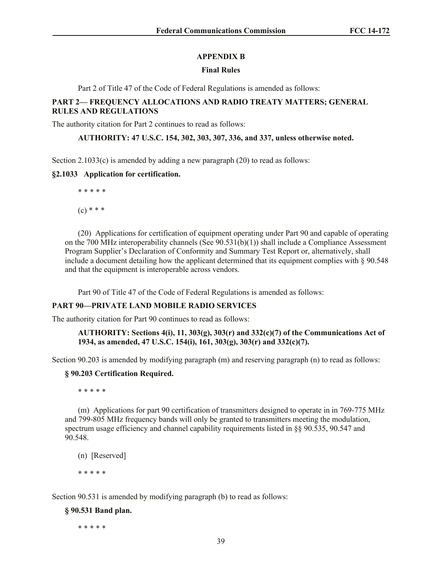### **APPENDIX B**

### **Final Rules**

Part 2 of Title 47 of the Code of Federal Regulations is amended as follows:

## **PART 2— FREQUENCY ALLOCATIONS AND RADIO TREATY MATTERS; GENERAL RULES AND REGULATIONS**

The authority citation for Part 2 continues to read as follows:

**AUTHORITY: 47 U.S.C. 154, 302, 303, 307, 336, and 337, unless otherwise noted.**

Section  $2.1033(c)$  is amended by adding a new paragraph (20) to read as follows:

#### **§2.1033 Application for certification.**

\* \* \* \* \*  $(c) * * *$ 

(20) Applications for certification of equipment operating under Part 90 and capable of operating on the 700 MHz interoperability channels (See  $90.531(b)(1)$ ) shall include a Compliance Assessment

Program Supplier's Declaration of Conformity and Summary Test Report or, alternatively, shall include a document detailing how the applicant determined that its equipment complies with  $\S 90.548$ and that the equipment is interoperable across vendors.

Part 90 of Title 47 of the Code of Federal Regulations is amended as follows:

### **PART 90—PRIVATE LAND MOBILE RADIO SERVICES**

The authority citation for Part 90 continues to read as follows:

#### **AUTHORITY: Sections 4(i), 11, 303(g), 303(r) and 332(c)(7) of the Communications Act of 1934, as amended, 47 U.S.C. 154(i), 161, 303(g), 303(r) and 332(c)(7).**

Section 90.203 is amended by modifying paragraph (m) and reserving paragraph (n) to read as follows:

### **§ 90.203 Certification Required.**

\* \* \* \* \*

(m) Applications for part 90 certification of transmitters designed to operate in in 769-775 MHz and 799-805 MHz frequency bands will only be granted to transmitters meeting the modulation, spectrum usage efficiency and channel capability requirements listed in §§ 90.535, 90.547 and 90.548.

(n) [Reserved]

\* \* \* \* \*

Section 90.531 is amended by modifying paragraph (b) to read as follows:

### **§ 90.531 Band plan.**

\* \* \* \* \*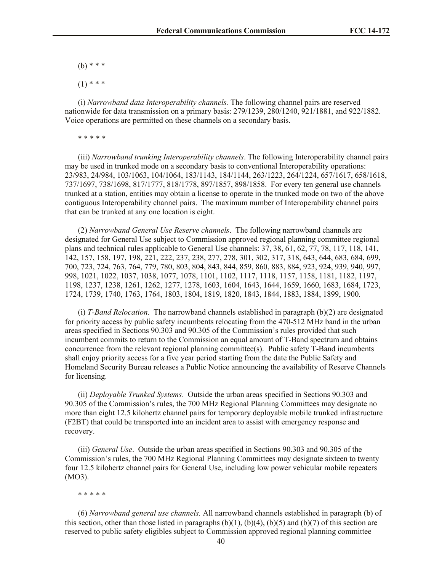(b) \* \* \*

 $(1)$  \* \* \*

(i) *Narrowband data Interoperability channels.* The following channel pairs are reserved nationwide for data transmission on a primary basis: 279/1239, 280/1240, 921/1881, and 922/1882. Voice operations are permitted on these channels on a secondary basis.

\* \* \* \* \*

(iii) *Narrowband trunking Interoperability channels*. The following Interoperability channel pairs may be used in trunked mode on a secondary basis to conventional Interoperability operations: 23/983, 24/984, 103/1063, 104/1064, 183/1143, 184/1144, 263/1223, 264/1224, 657/1617, 658/1618, 737/1697, 738/1698, 817/1777, 818/1778, 897/1857, 898/1858. For every ten general use channels trunked at a station, entities may obtain a license to operate in the trunked mode on two of the above contiguous Interoperability channel pairs. The maximum number of Interoperability channel pairs that can be trunked at any one location is eight.

(2) *Narrowband General Use Reserve channels*. The following narrowband channels are designated for General Use subject to Commission approved regional planning committee regional plans and technical rules applicable to General Use channels: 37, 38, 61, 62, 77, 78, 117, 118, 141, 142, 157, 158, 197, 198, 221, 222, 237, 238, 277, 278, 301, 302, 317, 318, 643, 644, 683, 684, 699, 700, 723, 724, 763, 764, 779, 780, 803, 804, 843, 844, 859, 860, 883, 884, 923, 924, 939, 940, 997, 998, 1021, 1022, 1037, 1038, 1077, 1078, 1101, 1102, 1117, 1118, 1157, 1158, 1181, 1182, 1197, 1198, 1237, 1238, 1261, 1262, 1277, 1278, 1603, 1604, 1643, 1644, 1659, 1660, 1683, 1684, 1723, 1724, 1739, 1740, 1763, 1764, 1803, 1804, 1819, 1820, 1843, 1844, 1883, 1884, 1899, 1900.

(i) *T-Band Relocation*. The narrowband channels established in paragraph (b)(2) are designated for priority access by public safety incumbents relocating from the 470-512 MHz band in the urban areas specified in Sections 90.303 and 90.305 of the Commission's rules provided that such incumbent commits to return to the Commission an equal amount of T-Band spectrum and obtains concurrence from the relevant regional planning committee(s). Public safety T-Band incumbents shall enjoy priority access for a five year period starting from the date the Public Safety and Homeland Security Bureau releases a Public Notice announcing the availability of Reserve Channels for licensing.

(ii) *Deployable Trunked Systems*. Outside the urban areas specified in Sections 90.303 and 90.305 of the Commission's rules, the 700 MHz Regional Planning Committees may designate no more than eight 12.5 kilohertz channel pairs for temporary deployable mobile trunked infrastructure (F2BT) that could be transported into an incident area to assist with emergency response and recovery.

(iii) *General Use*. Outside the urban areas specified in Sections 90.303 and 90.305 of the Commission's rules, the 700 MHz Regional Planning Committees may designate sixteen to twenty four 12.5 kilohertz channel pairs for General Use, including low power vehicular mobile repeaters (MO3).

#### \* \* \* \* \*

(6) *Narrowband general use channels.* All narrowband channels established in paragraph (b) of this section, other than those listed in paragraphs  $(b)(1)$ ,  $(b)(4)$ ,  $(b)(5)$  and  $(b)(7)$  of this section are reserved to public safety eligibles subject to Commission approved regional planning committee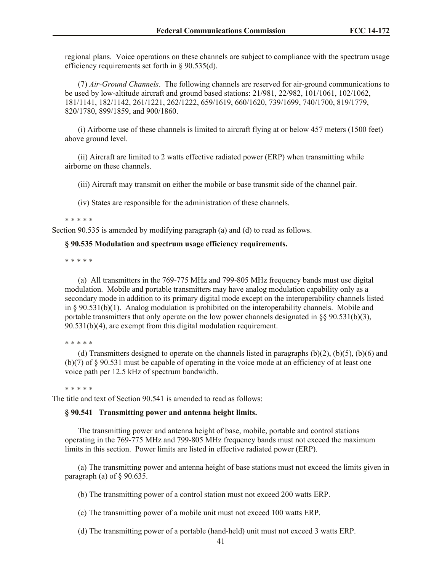regional plans. Voice operations on these channels are subject to compliance with the spectrum usage efficiency requirements set forth in § 90.535(d).

(7) *Air-Ground Channels*. The following channels are reserved for air-ground communications to be used by low-altitude aircraft and ground based stations: 21/981, 22/982, 101/1061, 102/1062, 181/1141, 182/1142, 261/1221, 262/1222, 659/1619, 660/1620, 739/1699, 740/1700, 819/1779, 820/1780, 899/1859, and 900/1860.

(i) Airborne use of these channels is limited to aircraft flying at or below 457 meters (1500 feet) above ground level.

(ii) Aircraft are limited to 2 watts effective radiated power (ERP) when transmitting while airborne on these channels.

(iii) Aircraft may transmit on either the mobile or base transmit side of the channel pair.

(iv) States are responsible for the administration of these channels.

\* \* \* \* \*

Section 90.535 is amended by modifying paragraph (a) and (d) to read as follows.

#### **§ 90.535 Modulation and spectrum usage efficiency requirements.**

\* \* \* \* \*

(a) All transmitters in the 769-775 MHz and 799-805 MHz frequency bands must use digital modulation. Mobile and portable transmitters may have analog modulation capability only as a secondary mode in addition to its primary digital mode except on the interoperability channels listed in §  $90.531(b)(1)$ . Analog modulation is prohibited on the interoperability channels. Mobile and portable transmitters that only operate on the low power channels designated in §§ 90.531(b)(3), 90.531(b)(4), are exempt from this digital modulation requirement.

\* \* \* \* \*

(d) Transmitters designed to operate on the channels listed in paragraphs (b)(2), (b)(5), (b)(6) and (b)(7) of § 90.531 must be capable of operating in the voice mode at an efficiency of at least one voice path per 12.5 kHz of spectrum bandwidth.

\* \* \* \* \*

The title and text of Section 90.541 is amended to read as follows:

#### **§ 90.541 Transmitting power and antenna height limits.**

The transmitting power and antenna height of base, mobile, portable and control stations operating in the 769-775 MHz and 799-805 MHz frequency bands must not exceed the maximum limits in this section. Power limits are listed in effective radiated power (ERP).

(a) The transmitting power and antenna height of base stations must not exceed the limits given in paragraph (a) of  $\S$  90.635.

(b) The transmitting power of a control station must not exceed 200 watts ERP.

(c) The transmitting power of a mobile unit must not exceed 100 watts ERP.

(d) The transmitting power of a portable (hand-held) unit must not exceed 3 watts ERP.